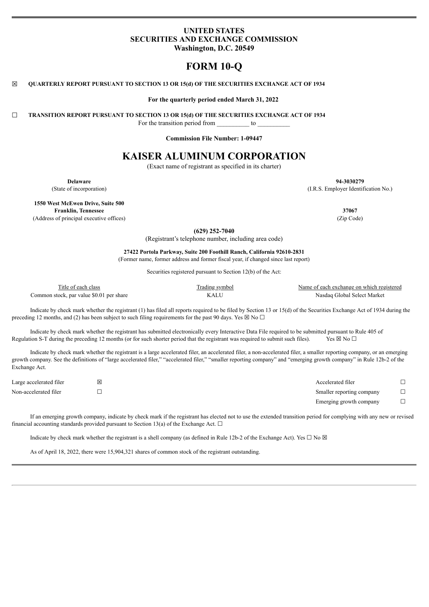# **UNITED STATES SECURITIES AND EXCHANGE COMMISSION Washington, D.C. 20549**

# **FORM 10-Q**

☒ **QUARTERLY REPORT PURSUANT TO SECTION 13 OR 15(d) OF THE SECURITIES EXCHANGE ACT OF 1934**

**For the quarterly period ended March 31, 2022**

☐ **TRANSITION REPORT PURSUANT TO SECTION 13 OR 15(d) OF THE SECURITIES EXCHANGE ACT OF 1934**

For the transition period from to  $\sim$ 

**Commission File Number: 1-09447**

# **KAISER ALUMINUM CORPORATION**

(Exact name of registrant as specified in its charter)

**Delaware 94-3030279** (State of incorporation) (I.R.S. Employer Identification No.)

**1550 West McEwen Drive, Suite 500 Franklin, Tennessee 37067** (Address of principal executive offices) (Zip Code)

**(629) 252-7040**

(Registrant's telephone number, including area code)

**27422 Portola Parkway, Suite 200 Foothill Ranch, California 92610-2831**

(Former name, former address and former fiscal year, if changed since last report)

Securities registered pursuant to Section 12(b) of the Act:

| Title of each class                      | Trading symbol | Name of each exchange on which registered |
|------------------------------------------|----------------|-------------------------------------------|
| Common stock, par value \$0.01 per share |                | Nasdag Global Select Market               |

Indicate by check mark whether the registrant (1) has filed all reports required to be filed by Section 13 or 15(d) of the Securities Exchange Act of 1934 during the preceding 12 months, and (2) has been subject to such filing requirements for the past 90 days. Yes  $\boxtimes$  No  $\Box$ 

Indicate by check mark whether the registrant has submitted electronically every Interactive Data File required to be submitted pursuant to Rule 405 of Regulation S-T during the preceding 12 months (or for such shorter period that the registrant was required to submit such files). Yes  $\boxtimes$  No  $\Box$ 

Indicate by check mark whether the registrant is a large accelerated filer, an accelerated filer, a non-accelerated filer, a smaller reporting company, or an emerging growth company. See the definitions of "large accelerated filer," "accelerated filer," "smaller reporting company" and "emerging growth company" in Rule 12b-2 of the Exchange Act.

| Large accelerated filer | ⊠ | Accelerated filer         |  |
|-------------------------|---|---------------------------|--|
| Non-accelerated filer   |   | Smaller reporting company |  |
|                         |   | Emerging growth company   |  |

If an emerging growth company, indicate by check mark if the registrant has elected not to use the extended transition period for complying with any new or revised financial accounting standards provided pursuant to Section 13(a) of the Exchange Act.  $\Box$ 

Indicate by check mark whether the registrant is a shell company (as defined in Rule 12b-2 of the Exchange Act). Yes  $\Box$  No  $\boxtimes$ 

As of April 18, 2022, there were 15,904,321 shares of common stock of the registrant outstanding.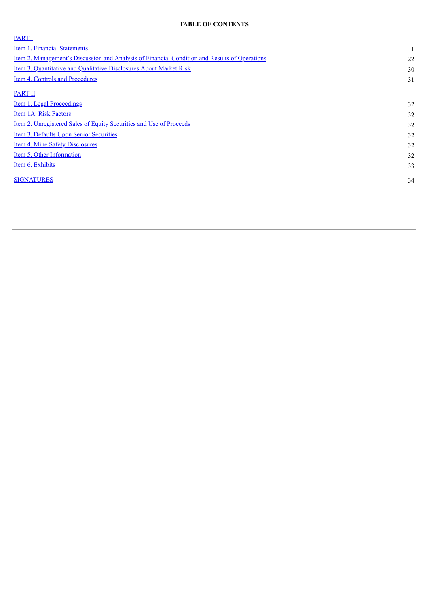# **TABLE OF CONTENTS**

| <b>PART I</b>                                                                                        |    |
|------------------------------------------------------------------------------------------------------|----|
| <b>Item 1. Financial Statements</b>                                                                  |    |
| <u>Item 2. Management's Discussion and Analysis of Financial Condition and Results of Operations</u> | 22 |
| <u>Item 3. Quantitative and Qualitative Disclosures About Market Risk</u>                            | 30 |
| Item 4. Controls and Procedures                                                                      | 31 |
| <b>PART II</b>                                                                                       |    |
| <u>Item 1. Legal Proceedings</u>                                                                     | 32 |
| Item 1A. Risk Factors                                                                                | 32 |
| <u>Item 2. Unregistered Sales of Equity Securities and Use of Proceeds</u>                           | 32 |
| Item 3. Defaults Upon Senior Securities                                                              | 32 |
| Item 4. Mine Safety Disclosures                                                                      | 32 |
| Item 5. Other Information                                                                            | 32 |
| Item 6. Exhibits                                                                                     | 33 |
| <b>SIGNATURES</b>                                                                                    | 34 |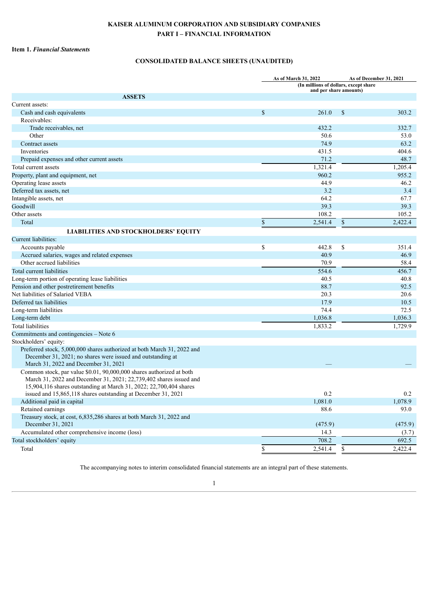# **KAISER ALUMINUM CORPORATION AND SUBSIDIARY COMPANIES PART I – FINANCIAL INFORMATION**

# <span id="page-2-1"></span><span id="page-2-0"></span>**Item 1.** *Financial Statements*

# **CONSOLIDATED BALANCE SHEETS (UNAUDITED)**

|                                                                         |               | As of March 31, 2022                                            |               | As of December 31, 2021 |
|-------------------------------------------------------------------------|---------------|-----------------------------------------------------------------|---------------|-------------------------|
|                                                                         |               | (In millions of dollars, except share<br>and per share amounts) |               |                         |
| <b>ASSETS</b>                                                           |               |                                                                 |               |                         |
| Current assets:                                                         |               |                                                                 |               |                         |
| Cash and cash equivalents                                               | $\mathcal{S}$ | 261.0                                                           | $\mathcal{S}$ | 303.2                   |
| Receivables:                                                            |               |                                                                 |               |                         |
| Trade receivables, net                                                  |               | 432.2                                                           |               | 332.7                   |
| Other                                                                   |               | 50.6                                                            |               | 53.0                    |
| Contract assets                                                         |               | 74.9                                                            |               | 63.2                    |
| Inventories                                                             |               | 431.5                                                           |               | 404.6                   |
| Prepaid expenses and other current assets                               |               | 71.2                                                            |               | 48.7                    |
| Total current assets                                                    |               | 1,321.4                                                         |               | 1,205.4                 |
| Property, plant and equipment, net                                      |               | 960.2                                                           |               | 955.2                   |
| Operating lease assets                                                  |               | 44.9                                                            |               | 46.2                    |
| Deferred tax assets, net                                                |               | 3.2                                                             |               | 3.4                     |
| Intangible assets, net                                                  |               | 64.2                                                            |               | 67.7                    |
| Goodwill                                                                |               | 39.3                                                            |               | 39.3                    |
| Other assets                                                            |               | 108.2                                                           |               | 105.2                   |
| Total                                                                   | \$            | 2,541.4                                                         | $\mathcal{S}$ | 2,422.4                 |
| <b>LIABILITIES AND STOCKHOLDERS' EQUITY</b>                             |               |                                                                 |               |                         |
| Current liabilities:                                                    |               |                                                                 |               |                         |
| Accounts payable                                                        | \$            | 442.8                                                           | \$            | 351.4                   |
| Accrued salaries, wages and related expenses                            |               | 40.9                                                            |               | 46.9                    |
| Other accrued liabilities                                               |               | 70.9                                                            |               | 58.4                    |
| <b>Total current liabilities</b>                                        |               | 554.6                                                           |               | 456.7                   |
| Long-term portion of operating lease liabilities                        |               | 40.5                                                            |               | 40.8                    |
| Pension and other postretirement benefits                               |               | 88.7                                                            |               | 92.5                    |
| Net liabilities of Salaried VEBA                                        |               | 20.3                                                            |               | 20.6                    |
| Deferred tax liabilities                                                |               | 17.9                                                            |               | 10.5                    |
| Long-term liabilities                                                   |               | 74.4                                                            |               | 72.5                    |
| Long-term debt                                                          |               | 1,036.8                                                         |               | 1,036.3                 |
| <b>Total liabilities</b>                                                |               | 1,833.2                                                         |               | 1,729.9                 |
| Commitments and contingencies – Note 6                                  |               |                                                                 |               |                         |
| Stockholders' equity:                                                   |               |                                                                 |               |                         |
| Preferred stock, 5,000,000 shares authorized at both March 31, 2022 and |               |                                                                 |               |                         |
| December 31, 2021; no shares were issued and outstanding at             |               |                                                                 |               |                         |
| March 31, 2022 and December 31, 2021                                    |               |                                                                 |               |                         |
| Common stock, par value \$0.01, 90,000,000 shares authorized at both    |               |                                                                 |               |                         |
| March 31, 2022 and December 31, 2021; 22, 739, 402 shares issued and    |               |                                                                 |               |                         |
| 15,904,116 shares outstanding at March 31, 2022; 22,700,404 shares      |               |                                                                 |               |                         |
| issued and 15,865,118 shares outstanding at December 31, 2021           |               | 0.2                                                             |               | 0.2                     |
| Additional paid in capital                                              |               | 1,081.0                                                         |               | 1,078.9                 |
| Retained earnings                                                       |               | 88.6                                                            |               | 93.0                    |
| Treasury stock, at cost, 6,835,286 shares at both March 31, 2022 and    |               |                                                                 |               |                         |
| December 31, 2021                                                       |               | (475.9)                                                         |               | (475.9)                 |
| Accumulated other comprehensive income (loss)                           |               | 14.3                                                            |               | (3.7)                   |
| Total stockholders' equity                                              |               | 708.2                                                           |               | 692.5                   |
| Total                                                                   | \$            | 2,541.4                                                         | \$            | 2,422.4                 |

The accompanying notes to interim consolidated financial statements are an integral part of these statements.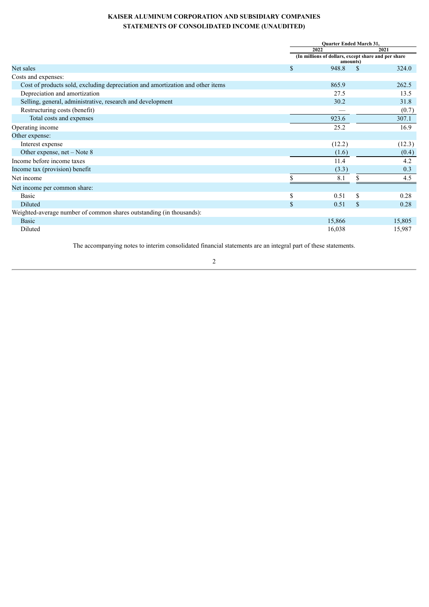# **KAISER ALUMINUM CORPORATION AND SUBSIDIARY COMPANIES STATEMENTS OF CONSOLIDATED INCOME (UNAUDITED)**

|                                                                                | Quarter Ended March 31, |                                                                 |     |        |  |
|--------------------------------------------------------------------------------|-------------------------|-----------------------------------------------------------------|-----|--------|--|
|                                                                                |                         | 2022                                                            |     | 2021   |  |
|                                                                                |                         | (In millions of dollars, except share and per share<br>amounts) |     |        |  |
| Net sales                                                                      | \$                      | 948.8                                                           | \$. | 324.0  |  |
| Costs and expenses:                                                            |                         |                                                                 |     |        |  |
| Cost of products sold, excluding depreciation and amortization and other items |                         | 865.9                                                           |     | 262.5  |  |
| Depreciation and amortization                                                  |                         | 27.5                                                            |     | 13.5   |  |
| Selling, general, administrative, research and development                     |                         | 30.2                                                            |     | 31.8   |  |
| Restructuring costs (benefit)                                                  |                         |                                                                 |     | (0.7)  |  |
| Total costs and expenses                                                       |                         | 923.6                                                           |     | 307.1  |  |
| Operating income                                                               |                         | 25.2                                                            |     | 16.9   |  |
| Other expense:                                                                 |                         |                                                                 |     |        |  |
| Interest expense                                                               |                         | (12.2)                                                          |     | (12.3) |  |
| Other expense, $net - Note 8$                                                  |                         | (1.6)                                                           |     | (0.4)  |  |
| Income before income taxes                                                     |                         | 11.4                                                            |     | 4.2    |  |
| Income tax (provision) benefit                                                 |                         | (3.3)                                                           |     | 0.3    |  |
| Net income                                                                     |                         | 8.1                                                             | \$  | 4.5    |  |
| Net income per common share:                                                   |                         |                                                                 |     |        |  |
| Basic                                                                          | <sup>\$</sup>           | 0.51                                                            | \$  | 0.28   |  |
| Diluted                                                                        | \$                      | 0.51                                                            | \$  | 0.28   |  |
| Weighted-average number of common shares outstanding (in thousands):           |                         |                                                                 |     |        |  |
| <b>Basic</b>                                                                   |                         | 15,866                                                          |     | 15,805 |  |
| Diluted                                                                        |                         | 16,038                                                          |     | 15,987 |  |

The accompanying notes to interim consolidated financial statements are an integral part of these statements.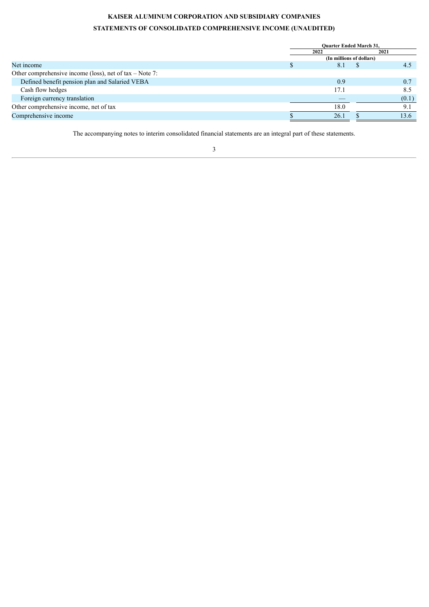# **KAISER ALUMINUM CORPORATION AND SUBSIDIARY COMPANIES STATEMENTS OF CONSOLIDATED COMPREHENSIVE INCOME (UNAUDITED)**

|                                                           |      | <b>Ouarter Ended March 31,</b> |  |       |
|-----------------------------------------------------------|------|--------------------------------|--|-------|
|                                                           | 2022 |                                |  | 2021  |
|                                                           |      | (In millions of dollars)       |  |       |
| Net income                                                |      | 8.1                            |  | 4.1   |
| Other comprehensive income (loss), net of tax $-$ Note 7: |      |                                |  |       |
| Defined benefit pension plan and Salaried VEBA            |      | 0.9                            |  | 0.7   |
| Cash flow hedges                                          |      | 17.1                           |  | 8.5   |
| Foreign currency translation                              |      |                                |  | (0.1) |
| Other comprehensive income, net of tax                    |      | 18.0                           |  |       |
| Comprehensive income                                      |      | 26.1                           |  | 13.6  |

The accompanying notes to interim consolidated financial statements are an integral part of these statements.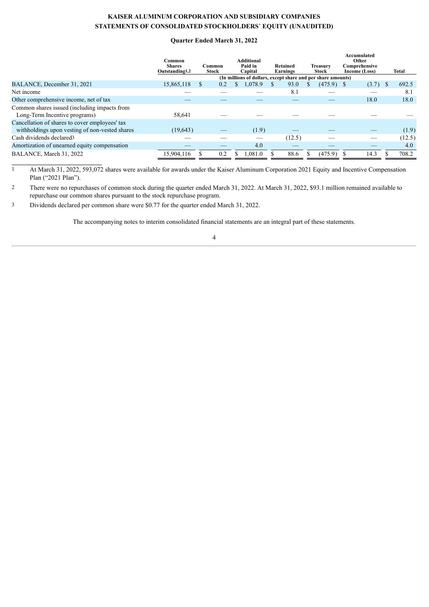# **KAISER ALUMINUM CORPORATION AND SUBSIDIARY COMPANIES STATEMENTS OF CONSOLIDATED STOCKHOLDERS**' **EQUITY (UNAUDITED)**

# **Quarter Ended March 31, 2022**

|                                                | Common                          |                        |     | <b>Additional</b>                                            |                      |                          | Accumulated<br>Other           |        |
|------------------------------------------------|---------------------------------|------------------------|-----|--------------------------------------------------------------|----------------------|--------------------------|--------------------------------|--------|
|                                                | <b>Shares</b><br>Outstanding1,2 | Common<br><b>Stock</b> |     | Paid in<br>Capital                                           | Retained<br>Earnings | <b>Treasury</b><br>Stock | Comprehensive<br>Income (Loss) | Total  |
|                                                |                                 |                        |     | (In millions of dollars, except share and per share amounts) |                      |                          |                                |        |
| BALANCE, December 31, 2021                     | 15,865,118                      |                        | 0.2 | 1,078.9                                                      | 93.0                 | $(475.9)$ \$             | (3.7)                          | 692.5  |
| Net income                                     |                                 |                        |     |                                                              | 8.1                  |                          |                                | 8.1    |
| Other comprehensive income, net of tax         |                                 |                        |     |                                                              |                      |                          | 18.0                           | 18.0   |
| Common shares issued (including impacts from   |                                 |                        |     |                                                              |                      |                          |                                |        |
| Long-Term Incentive programs)                  | 58,641                          |                        |     |                                                              |                      |                          |                                |        |
| Cancellation of shares to cover employees' tax |                                 |                        |     |                                                              |                      |                          |                                |        |
| withholdings upon vesting of non-vested shares | (19,643)                        |                        |     | (1.9)                                                        |                      |                          |                                | (1.9)  |
| Cash dividends declared3                       |                                 |                        |     |                                                              | (12.5)               |                          |                                | (12.5) |
| Amortization of unearned equity compensation   |                                 |                        |     | 4.0                                                          |                      |                          |                                | 4.0    |
| BALANCE, March 31, 2022                        | 15,904,116                      |                        | 0.2 | 1,081.0                                                      | 88.6                 | (475.9)                  | 14.3                           | 708.2  |

1 At March 31, 2022, 593,072 shares were available for awards under the Kaiser Aluminum Corporation 2021 Equity and Incentive Compensation Plan ("2021 Plan").

2 There were no repurchases of common stock during the quarter ended March 31, 2022. At March 31, 2022, \$93.1 million remained available to repurchase our common shares pursuant to the stock repurchase program.

3 Dividends declared per common share were \$0.77 for the quarter ended March 31, 2022.

The accompanying notes to interim consolidated financial statements are an integral part of these statements.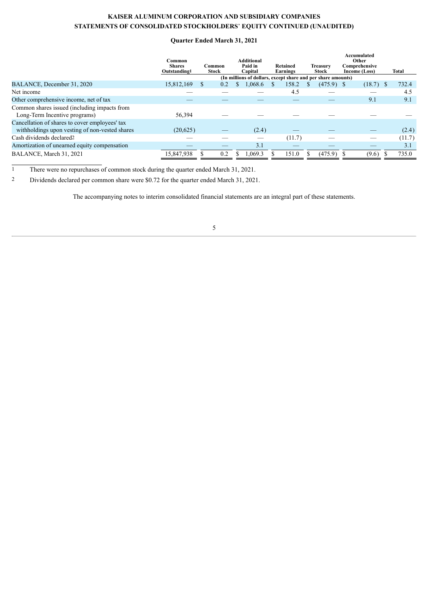# **KAISER ALUMINUM CORPORATION AND SUBSIDIARY COMPANIES STATEMENTS OF CONSOLIDATED STOCKHOLDERS**' **EQUITY CONTINUED (UNAUDITED)**

# **Quarter Ended March 31, 2021**

|                                                | Common<br><b>Shares</b><br>Outstanding1 | Common<br>Stock |     | <b>Additional</b><br>Paid in<br>Capital | Retained<br>Earnings                                         | Treasurv<br>Stock | Accumulated<br>Other<br>Comprehensive<br>Income (Loss) |     | Total  |
|------------------------------------------------|-----------------------------------------|-----------------|-----|-----------------------------------------|--------------------------------------------------------------|-------------------|--------------------------------------------------------|-----|--------|
|                                                |                                         |                 |     |                                         | (In millions of dollars, except share and per share amounts) |                   |                                                        |     |        |
| BALANCE, December 31, 2020                     | 15,812,169                              |                 | 0.2 | 1,068.6                                 | 158.2                                                        | $(475.9)$ \$      | (18.7)                                                 | - S | 732.4  |
| Net income                                     |                                         |                 |     |                                         | 4.5                                                          |                   |                                                        |     | 4.5    |
| Other comprehensive income, net of tax         |                                         |                 |     |                                         |                                                              |                   | 9.1                                                    |     | 9.1    |
| Common shares issued (including impacts from   |                                         |                 |     |                                         |                                                              |                   |                                                        |     |        |
| Long-Term Incentive programs)                  | 56,394                                  |                 |     |                                         |                                                              |                   |                                                        |     |        |
| Cancellation of shares to cover employees' tax |                                         |                 |     |                                         |                                                              |                   |                                                        |     |        |
| withholdings upon vesting of non-vested shares | (20.625)                                |                 |     | (2.4)                                   |                                                              |                   |                                                        |     | (2.4)  |
| Cash dividends declared <sub>2</sub>           |                                         |                 |     |                                         | (11.7)                                                       |                   |                                                        |     | (11.7) |
| Amortization of unearned equity compensation   |                                         |                 |     | 3.1                                     |                                                              |                   |                                                        |     | 3.1    |
| BALANCE, March 31, 2021                        | 15,847,938                              |                 | 0.2 | .069.3                                  | 151.0                                                        | (475.9)           | (9.6)                                                  |     | 735.0  |

<sup>1</sup> There were no repurchases of common stock during the quarter ended March 31, 2021.

2 Dividends declared per common share were \$0.72 for the quarter ended March 31, 2021.

The accompanying notes to interim consolidated financial statements are an integral part of these statements.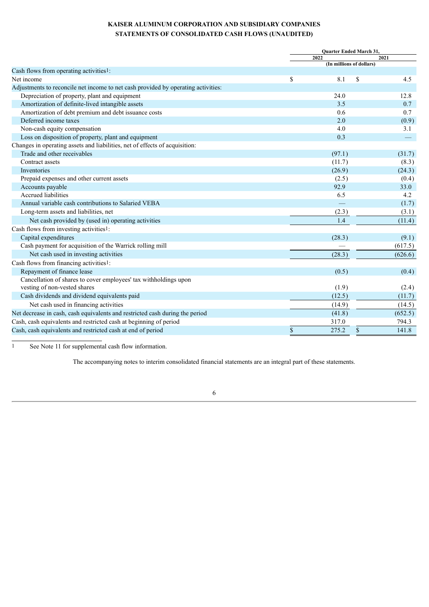# **KAISER ALUMINUM CORPORATION AND SUBSIDIARY COMPANIES STATEMENTS OF CONSOLIDATED CASH FLOWS (UNAUDITED)**

|                                                                                   | Quarter Ended March 31,  |             |         |  |
|-----------------------------------------------------------------------------------|--------------------------|-------------|---------|--|
|                                                                                   | 2022                     |             | 2021    |  |
|                                                                                   | (In millions of dollars) |             |         |  |
| Cash flows from operating activities <sup>1</sup> :<br>Net income                 | 8.1                      |             |         |  |
|                                                                                   | \$                       | \$          | 4.5     |  |
| Adjustments to reconcile net income to net cash provided by operating activities: |                          |             |         |  |
| Depreciation of property, plant and equipment                                     | 24.0                     |             | 12.8    |  |
| Amortization of definite-lived intangible assets                                  | 3.5                      |             | 0.7     |  |
| Amortization of debt premium and debt issuance costs                              | 0.6                      |             | 0.7     |  |
| Deferred income taxes                                                             | 2.0                      |             | (0.9)   |  |
| Non-cash equity compensation                                                      | 4.0                      |             | 3.1     |  |
| Loss on disposition of property, plant and equipment                              | 0.3                      |             |         |  |
| Changes in operating assets and liabilities, net of effects of acquisition:       |                          |             |         |  |
| Trade and other receivables                                                       | (97.1)                   |             | (31.7)  |  |
| Contract assets                                                                   | (11.7)                   |             | (8.3)   |  |
| Inventories                                                                       | (26.9)                   |             | (24.3)  |  |
| Prepaid expenses and other current assets                                         | (2.5)                    |             | (0.4)   |  |
| Accounts payable                                                                  | 92.9                     |             | 33.0    |  |
| <b>Accrued liabilities</b>                                                        | 6.5                      |             | 4.2     |  |
| Annual variable cash contributions to Salaried VEBA                               |                          |             | (1.7)   |  |
| Long-term assets and liabilities, net                                             | (2.3)                    |             | (3.1)   |  |
| Net cash provided by (used in) operating activities                               | 1.4                      |             | (11.4)  |  |
| Cash flows from investing activities <sup>1</sup> :                               |                          |             |         |  |
| Capital expenditures                                                              | (28.3)                   |             | (9.1)   |  |
| Cash payment for acquisition of the Warrick rolling mill                          |                          |             | (617.5) |  |
| Net cash used in investing activities                                             | (28.3)                   |             | (626.6) |  |
| Cash flows from financing activities <sup>1</sup> :                               |                          |             |         |  |
| Repayment of finance lease                                                        | (0.5)                    |             | (0.4)   |  |
| Cancellation of shares to cover employees' tax withholdings upon                  |                          |             |         |  |
| vesting of non-vested shares                                                      | (1.9)                    |             | (2.4)   |  |
| Cash dividends and dividend equivalents paid                                      | (12.5)                   |             | (11.7)  |  |
| Net cash used in financing activities                                             | (14.9)                   |             | (14.5)  |  |
| Net decrease in cash, cash equivalents and restricted cash during the period      | (41.8)                   |             | (652.5) |  |
| Cash, cash equivalents and restricted cash at beginning of period                 | 317.0                    |             | 794.3   |  |
| Cash, cash equivalents and restricted cash at end of period                       | \$<br>275.2              | $\mathbf S$ | 141.8   |  |

1 See Note 11 for supplemental cash flow information.

The accompanying notes to interim consolidated financial statements are an integral part of these statements.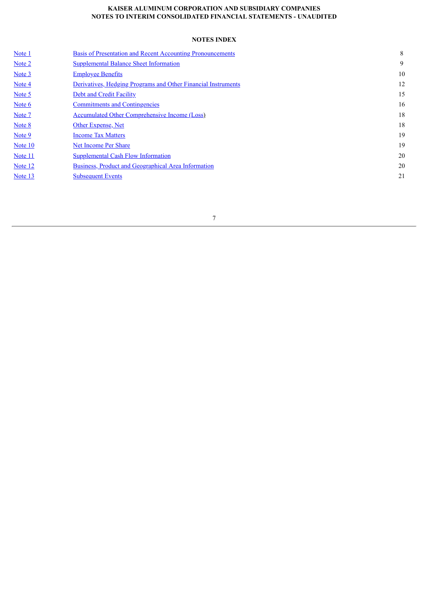# **NOTES INDEX**

<span id="page-8-0"></span>

| Note 1  | Basis of Presentation and Recent Accounting Pronouncements    | 8  |
|---------|---------------------------------------------------------------|----|
| Note 2  | <b>Supplemental Balance Sheet Information</b>                 | 9  |
| Note 3  | <b>Employee Benefits</b>                                      | 10 |
| Note 4  | Derivatives, Hedging Programs and Other Financial Instruments | 12 |
| Note 5  | Debt and Credit Facility                                      | 15 |
| Note 6  | <b>Commitments and Contingencies</b>                          | 16 |
| Note 7  | <b>Accumulated Other Comprehensive Income (Loss)</b>          | 18 |
| Note 8  | Other Expense, Net                                            | 18 |
| Note 9  | <b>Income Tax Matters</b>                                     | 19 |
| Note 10 | Net Income Per Share                                          | 19 |
| Note 11 | <b>Supplemental Cash Flow Information</b>                     | 20 |
| Note 12 | Business, Product and Geographical Area Information           | 20 |
| Note 13 | <b>Subsequent Events</b>                                      | 21 |
|         |                                                               |    |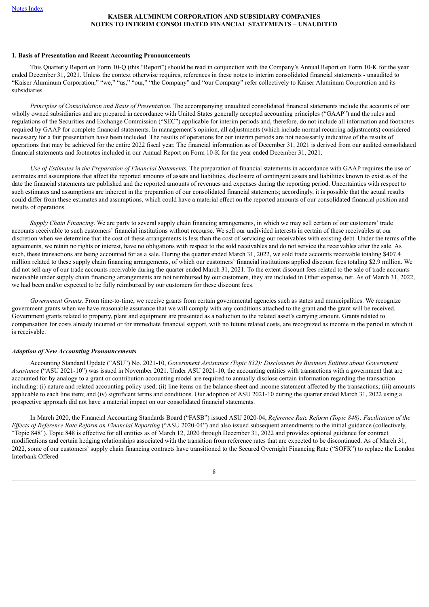#### <span id="page-9-0"></span>**1. Basis of Presentation and Recent Accounting Pronouncements**

This Quarterly Report on Form 10-Q (this "Report") should be read in conjunction with the Company's Annual Report on Form 10-K for the year ended December 31, 2021. Unless the context otherwise requires, references in these notes to interim consolidated financial statements - unaudited to "Kaiser Aluminum Corporation," "we," "us," "our," "the Company" and "our Company" refer collectively to Kaiser Aluminum Corporation and its subsidiaries.

*Principles of Consolidation and Basis of Presentation.* The accompanying unaudited consolidated financial statements include the accounts of our wholly owned subsidiaries and are prepared in accordance with United States generally accepted accounting principles ("GAAP") and the rules and regulations of the Securities and Exchange Commission ("SEC") applicable for interim periods and, therefore, do not include all information and footnotes required by GAAP for complete financial statements. In management's opinion, all adjustments (which include normal recurring adjustments) considered necessary for a fair presentation have been included. The results of operations for our interim periods are not necessarily indicative of the results of operations that may be achieved for the entire 2022 fiscal year. The financial information as of December 31, 2021 is derived from our audited consolidated financial statements and footnotes included in our Annual Report on Form 10-K for the year ended December 31, 2021.

*Use of Estimates in the Preparation of Financial Statements.* The preparation of financial statements in accordance with GAAP requires the use of estimates and assumptions that affect the reported amounts of assets and liabilities, disclosure of contingent assets and liabilities known to exist as of the date the financial statements are published and the reported amounts of revenues and expenses during the reporting period. Uncertainties with respect to such estimates and assumptions are inherent in the preparation of our consolidated financial statements; accordingly, it is possible that the actual results could differ from these estimates and assumptions, which could have a material effect on the reported amounts of our consolidated financial position and results of operations.

*Supply Chain Financing*. We are party to several supply chain financing arrangements, in which we may sell certain of our customers' trade accounts receivable to such customers' financial institutions without recourse. We sell our undivided interests in certain of these receivables at our discretion when we determine that the cost of these arrangements is less than the cost of servicing our receivables with existing debt. Under the terms of the agreements, we retain no rights or interest, have no obligations with respect to the sold receivables and do not service the receivables after the sale. As such, these transactions are being accounted for as a sale. During the quarter ended March 31, 2022, we sold trade accounts receivable totaling \$407.4 million related to these supply chain financing arrangements, of which our customers' financial institutions applied discount fees totaling \$2.9 million. We did not sell any of our trade accounts receivable during the quarter ended March 31, 2021. To the extent discount fees related to the sale of trade accounts receivable under supply chain financing arrangements are not reimbursed by our customers, they are included in Other expense, net. As of March 31, 2022, we had been and/or expected to be fully reimbursed by our customers for these discount fees.

*Government Grants.* From time-to-time, we receive grants from certain governmental agencies such as states and municipalities. We recognize government grants when we have reasonable assurance that we will comply with any conditions attached to the grant and the grant will be received. Government grants related to property, plant and equipment are presented as a reduction to the related asset's carrying amount. Grants related to compensation for costs already incurred or for immediate financial support, with no future related costs, are recognized as income in the period in which it is receivable.

#### *Adoption of New Accounting Pronouncements*

Accounting Standard Update ("ASU") No. 2021-10, *Government Assistance (Topic 832): Disclosures by Business Entities about Government Assistance* ("ASU 2021-10") was issued in November 2021. Under ASU 2021-10, the accounting entities with transactions with a government that are accounted for by analogy to a grant or contribution accounting model are required to annually disclose certain information regarding the transaction including: (i) nature and related accounting policy used; (ii) line items on the balance sheet and income statement affected by the transactions; (iii) amounts applicable to each line item; and (iv) significant terms and conditions. Our adoption of ASU 2021-10 during the quarter ended March 31, 2022 using a prospective approach did not have a material impact on our consolidated financial statements.

In March 2020, the Financial Accounting Standards Board ("FASB") issued ASU 2020-04, *Reference Rate Reform (Topic 848): Facilitation of the Ef ects of Reference Rate Reform on Financial Reporting* ("ASU 2020-04") and also issued subsequent amendments to the initial guidance (collectively, "Topic 848"). Topic 848 is effective for all entities as of March 12, 2020 through December 31, 2022 and provides optional guidance for contract modifications and certain hedging relationships associated with the transition from reference rates that are expected to be discontinued. As of March 31, 2022, some of our customers' supply chain financing contracts have transitioned to the Secured Overnight Financing Rate ("SOFR") to replace the London Interbank Offered

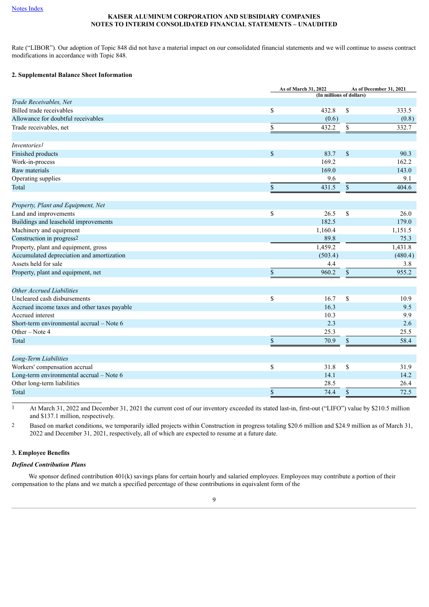Rate ("LIBOR"). Our adoption of Topic 848 did not have a material impact on our consolidated financial statements and we will continue to assess contract modifications in accordance with Topic 848.

# <span id="page-10-0"></span>**2. Supplemental Balance Sheet Information**

| (In millions of dollars)<br>Trade Receivables, Net<br>Billed trade receivables<br>\$<br>432.8<br>\$<br>333.5<br>Allowance for doubtful receivables<br>(0.6)<br>(0.8)<br>\$<br>$\mathbb{S}% _{t}\left( t\right) \equiv\mathbb{S}_{t}\left( t\right)$<br>Trade receivables, net<br>432.2<br>332.7<br><i>Inventories1</i><br>\$<br>$\mathbb{S}$<br>Finished products<br>83.7<br>90.3<br>169.2<br>162.2<br>Work-in-process<br>169.0<br>Raw materials<br>143.0<br>9.6<br>9.1<br>Operating supplies<br>\$<br>$\mathbb{S}$<br>431.5<br>Total<br>404.6<br>Property, Plant and Equipment, Net<br>\$<br>26.5<br>\$<br>Land and improvements<br>26.0<br>182.5<br>Buildings and leasehold improvements<br>179.0<br>Machinery and equipment<br>1,160.4<br>1,151.5<br>Construction in progress <sup>2</sup><br>89.8<br>75.3<br>1,459.2<br>1,431.8<br>Property, plant and equipment, gross<br>(503.4)<br>(480.4)<br>Accumulated depreciation and amortization<br>Assets held for sale<br>4.4<br>3.8<br>\$<br>$\mathbb{S}$<br>955.2<br>960.2<br>Property, plant and equipment, net |  | As of March 31, 2022 | As of December 31, 2021 |
|--------------------------------------------------------------------------------------------------------------------------------------------------------------------------------------------------------------------------------------------------------------------------------------------------------------------------------------------------------------------------------------------------------------------------------------------------------------------------------------------------------------------------------------------------------------------------------------------------------------------------------------------------------------------------------------------------------------------------------------------------------------------------------------------------------------------------------------------------------------------------------------------------------------------------------------------------------------------------------------------------------------------------------------------------------------------|--|----------------------|-------------------------|
|                                                                                                                                                                                                                                                                                                                                                                                                                                                                                                                                                                                                                                                                                                                                                                                                                                                                                                                                                                                                                                                                    |  |                      |                         |
|                                                                                                                                                                                                                                                                                                                                                                                                                                                                                                                                                                                                                                                                                                                                                                                                                                                                                                                                                                                                                                                                    |  |                      |                         |
|                                                                                                                                                                                                                                                                                                                                                                                                                                                                                                                                                                                                                                                                                                                                                                                                                                                                                                                                                                                                                                                                    |  |                      |                         |
|                                                                                                                                                                                                                                                                                                                                                                                                                                                                                                                                                                                                                                                                                                                                                                                                                                                                                                                                                                                                                                                                    |  |                      |                         |
|                                                                                                                                                                                                                                                                                                                                                                                                                                                                                                                                                                                                                                                                                                                                                                                                                                                                                                                                                                                                                                                                    |  |                      |                         |
|                                                                                                                                                                                                                                                                                                                                                                                                                                                                                                                                                                                                                                                                                                                                                                                                                                                                                                                                                                                                                                                                    |  |                      |                         |
|                                                                                                                                                                                                                                                                                                                                                                                                                                                                                                                                                                                                                                                                                                                                                                                                                                                                                                                                                                                                                                                                    |  |                      |                         |
|                                                                                                                                                                                                                                                                                                                                                                                                                                                                                                                                                                                                                                                                                                                                                                                                                                                                                                                                                                                                                                                                    |  |                      |                         |
|                                                                                                                                                                                                                                                                                                                                                                                                                                                                                                                                                                                                                                                                                                                                                                                                                                                                                                                                                                                                                                                                    |  |                      |                         |
|                                                                                                                                                                                                                                                                                                                                                                                                                                                                                                                                                                                                                                                                                                                                                                                                                                                                                                                                                                                                                                                                    |  |                      |                         |
|                                                                                                                                                                                                                                                                                                                                                                                                                                                                                                                                                                                                                                                                                                                                                                                                                                                                                                                                                                                                                                                                    |  |                      |                         |
|                                                                                                                                                                                                                                                                                                                                                                                                                                                                                                                                                                                                                                                                                                                                                                                                                                                                                                                                                                                                                                                                    |  |                      |                         |
|                                                                                                                                                                                                                                                                                                                                                                                                                                                                                                                                                                                                                                                                                                                                                                                                                                                                                                                                                                                                                                                                    |  |                      |                         |
|                                                                                                                                                                                                                                                                                                                                                                                                                                                                                                                                                                                                                                                                                                                                                                                                                                                                                                                                                                                                                                                                    |  |                      |                         |
|                                                                                                                                                                                                                                                                                                                                                                                                                                                                                                                                                                                                                                                                                                                                                                                                                                                                                                                                                                                                                                                                    |  |                      |                         |
|                                                                                                                                                                                                                                                                                                                                                                                                                                                                                                                                                                                                                                                                                                                                                                                                                                                                                                                                                                                                                                                                    |  |                      |                         |
|                                                                                                                                                                                                                                                                                                                                                                                                                                                                                                                                                                                                                                                                                                                                                                                                                                                                                                                                                                                                                                                                    |  |                      |                         |
|                                                                                                                                                                                                                                                                                                                                                                                                                                                                                                                                                                                                                                                                                                                                                                                                                                                                                                                                                                                                                                                                    |  |                      |                         |
|                                                                                                                                                                                                                                                                                                                                                                                                                                                                                                                                                                                                                                                                                                                                                                                                                                                                                                                                                                                                                                                                    |  |                      |                         |
|                                                                                                                                                                                                                                                                                                                                                                                                                                                                                                                                                                                                                                                                                                                                                                                                                                                                                                                                                                                                                                                                    |  |                      |                         |
|                                                                                                                                                                                                                                                                                                                                                                                                                                                                                                                                                                                                                                                                                                                                                                                                                                                                                                                                                                                                                                                                    |  |                      |                         |
| Other Accrued Liabilities                                                                                                                                                                                                                                                                                                                                                                                                                                                                                                                                                                                                                                                                                                                                                                                                                                                                                                                                                                                                                                          |  |                      |                         |
| \$<br>Uncleared cash disbursements<br>16.7<br>\$<br>10.9                                                                                                                                                                                                                                                                                                                                                                                                                                                                                                                                                                                                                                                                                                                                                                                                                                                                                                                                                                                                           |  |                      |                         |
| 16.3<br>Accrued income taxes and other taxes payable<br>9.5                                                                                                                                                                                                                                                                                                                                                                                                                                                                                                                                                                                                                                                                                                                                                                                                                                                                                                                                                                                                        |  |                      |                         |
| Accrued interest<br>10.3<br>9.9                                                                                                                                                                                                                                                                                                                                                                                                                                                                                                                                                                                                                                                                                                                                                                                                                                                                                                                                                                                                                                    |  |                      |                         |
| 2.3<br>Short-term environmental accrual – Note 6<br>2.6                                                                                                                                                                                                                                                                                                                                                                                                                                                                                                                                                                                                                                                                                                                                                                                                                                                                                                                                                                                                            |  |                      |                         |
| Other - Note 4<br>25.3<br>25.5                                                                                                                                                                                                                                                                                                                                                                                                                                                                                                                                                                                                                                                                                                                                                                                                                                                                                                                                                                                                                                     |  |                      |                         |
| \$<br>$\mathbb{S}$<br>70.9<br>58.4<br>Total                                                                                                                                                                                                                                                                                                                                                                                                                                                                                                                                                                                                                                                                                                                                                                                                                                                                                                                                                                                                                        |  |                      |                         |
| Long-Term Liabilities                                                                                                                                                                                                                                                                                                                                                                                                                                                                                                                                                                                                                                                                                                                                                                                                                                                                                                                                                                                                                                              |  |                      |                         |
| \$<br>31.8<br>\$<br>Workers' compensation accrual<br>31.9                                                                                                                                                                                                                                                                                                                                                                                                                                                                                                                                                                                                                                                                                                                                                                                                                                                                                                                                                                                                          |  |                      |                         |
| Long-term environmental accrual - Note 6<br>14.1<br>14.2                                                                                                                                                                                                                                                                                                                                                                                                                                                                                                                                                                                                                                                                                                                                                                                                                                                                                                                                                                                                           |  |                      |                         |
| Other long-term liabilities<br>28.5<br>26.4                                                                                                                                                                                                                                                                                                                                                                                                                                                                                                                                                                                                                                                                                                                                                                                                                                                                                                                                                                                                                        |  |                      |                         |
| $\mathbb S$<br>$\mathbb S$<br>74.4<br>72.5<br>Total                                                                                                                                                                                                                                                                                                                                                                                                                                                                                                                                                                                                                                                                                                                                                                                                                                                                                                                                                                                                                |  |                      |                         |

1 At March 31, 2022 and December 31, 2021 the current cost of our inventory exceeded its stated last-in, first-out ("LIFO") value by \$210.5 million and \$137.1 million, respectively.

2 Based on market conditions, we temporarily idled projects within Construction in progress totaling \$20.6 million and \$24.9 million as of March 31, 2022 and December 31, 2021, respectively, all of which are expected to resume at a future date.

# <span id="page-10-1"></span>**3. Employee Benefits**

## *Defined Contribution Plans*

We sponsor defined contribution 401(k) savings plans for certain hourly and salaried employees. Employees may contribute a portion of their compensation to the plans and we match a specified percentage of these contributions in equivalent form of the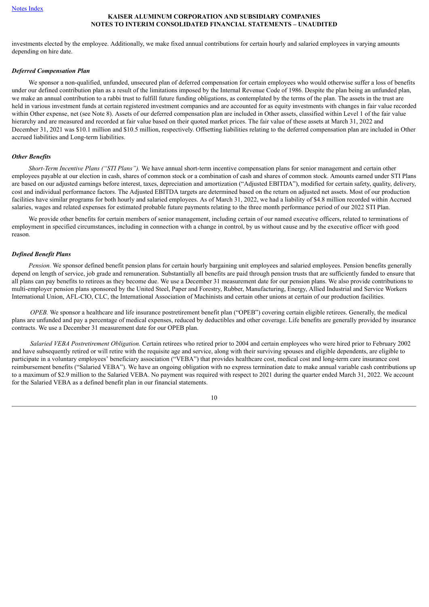investments elected by the employee. Additionally, we make fixed annual contributions for certain hourly and salaried employees in varying amounts depending on hire date.

### *Deferred Compensation Plan*

We sponsor a non-qualified, unfunded, unsecured plan of deferred compensation for certain employees who would otherwise suffer a loss of benefits under our defined contribution plan as a result of the limitations imposed by the Internal Revenue Code of 1986. Despite the plan being an unfunded plan, we make an annual contribution to a rabbi trust to fulfill future funding obligations, as contemplated by the terms of the plan. The assets in the trust are held in various investment funds at certain registered investment companies and are accounted for as equity investments with changes in fair value recorded within Other expense, net (see Note 8). Assets of our deferred compensation plan are included in Other assets, classified within Level 1 of the fair value hierarchy and are measured and recorded at fair value based on their quoted market prices. The fair value of these assets at March 31, 2022 and December 31, 2021 was \$10.1 million and \$10.5 million, respectively. Offsetting liabilities relating to the deferred compensation plan are included in Other accrued liabilities and Long-term liabilities.

#### *Other Benefits*

*Short-Term Incentive Plans ("STI Plans").* We have annual short-term incentive compensation plans for senior management and certain other employees payable at our election in cash, shares of common stock or a combination of cash and shares of common stock. Amounts earned under STI Plans are based on our adjusted earnings before interest, taxes, depreciation and amortization ("Adjusted EBITDA"), modified for certain safety, quality, delivery, cost and individual performance factors. The Adjusted EBITDA targets are determined based on the return on adjusted net assets. Most of our production facilities have similar programs for both hourly and salaried employees. As of March 31, 2022, we had a liability of \$4.8 million recorded within Accrued salaries, wages and related expenses for estimated probable future payments relating to the three month performance period of our 2022 STI Plan.

We provide other benefits for certain members of senior management, including certain of our named executive officers, related to terminations of employment in specified circumstances, including in connection with a change in control, by us without cause and by the executive officer with good reason.

#### *Defined Benefit Plans*

*Pension.* We sponsor defined benefit pension plans for certain hourly bargaining unit employees and salaried employees. Pension benefits generally depend on length of service, job grade and remuneration. Substantially all benefits are paid through pension trusts that are sufficiently funded to ensure that all plans can pay benefits to retirees as they become due. We use a December 31 measurement date for our pension plans. We also provide contributions to multi-employer pension plans sponsored by the United Steel, Paper and Forestry, Rubber, Manufacturing, Energy, Allied Industrial and Service Workers International Union, AFL-CIO, CLC, the International Association of Machinists and certain other unions at certain of our production facilities.

*OPEB.* We sponsor a healthcare and life insurance postretirement benefit plan ("OPEB") covering certain eligible retirees. Generally, the medical plans are unfunded and pay a percentage of medical expenses, reduced by deductibles and other coverage. Life benefits are generally provided by insurance contracts. We use a December 31 measurement date for our OPEB plan.

*Salaried VEBA Postretirement Obligation.* Certain retirees who retired prior to 2004 and certain employees who were hired prior to February 2002 and have subsequently retired or will retire with the requisite age and service, along with their surviving spouses and eligible dependents, are eligible to participate in a voluntary employees' beneficiary association ("VEBA") that provides healthcare cost, medical cost and long-term care insurance cost reimbursement benefits ("Salaried VEBA"). We have an ongoing obligation with no express termination date to make annual variable cash contributions up to a maximum of \$2.9 million to the Salaried VEBA. No payment was required with respect to 2021 during the quarter ended March 31, 2022. We account for the Salaried VEBA as a defined benefit plan in our financial statements.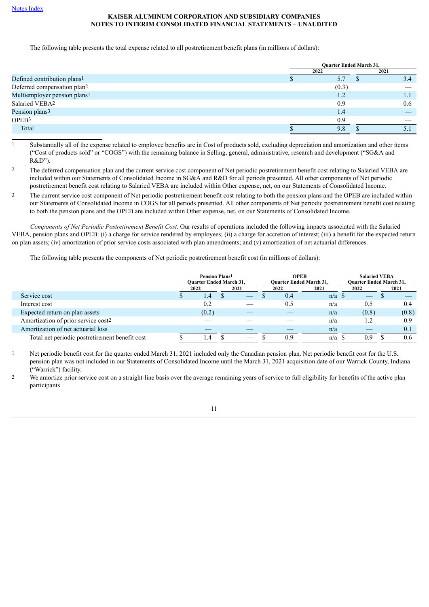The following table presents the total expense related to all postretirement benefit plans (in millions of dollars):

|                                          | <b>Ouarter Ended March 31,</b> |  |      |  |  |  |
|------------------------------------------|--------------------------------|--|------|--|--|--|
|                                          | 2022                           |  | 2021 |  |  |  |
| Defined contribution plans <sup>1</sup>  | 5.1                            |  |      |  |  |  |
| Deferred compensation plan2              | (0.3)                          |  |      |  |  |  |
| Multiemployer pension plans <sup>1</sup> | 1.2                            |  |      |  |  |  |
| Salaried VEBA2                           | 0.9                            |  | 0.6  |  |  |  |
| Pension plans <sup>3</sup>               | 1.4                            |  |      |  |  |  |
| OPEB <sup>3</sup>                        | 0.9                            |  |      |  |  |  |
| Total                                    | 9.8                            |  |      |  |  |  |

- Substantially all of the expense related to employee benefits are in Cost of products sold, excluding depreciation and amortization and other items ("Cost of products sold" or "COGS") with the remaining balance in Selling, general, administrative, research and development ("SG&A and R&D").
- 2 The deferred compensation plan and the current service cost component of Net periodic postretirement benefit cost relating to Salaried VEBA are included within our Statements of Consolidated Income in SG&A and R&D for all periods presented. All other components of Net periodic postretirement benefit cost relating to Salaried VEBA are included within Other expense, net, on our Statements of Consolidated Income.
- <sup>3</sup> The current service cost component of Net periodic postretirement benefit cost relating to both the pension plans and the OPEB are included within our Statements of Consolidated Income in COGS for all periods presented. All other components of Net periodic postretirement benefit cost relating to both the pension plans and the OPEB are included within Other expense, net, on our Statements of Consolidated Income.

*Components of Net Periodic Postretirement Benefit Cost.* Our results of operations included the following impacts associated with the Salaried VEBA, pension plans and OPEB: (i) a charge for service rendered by employees; (ii) a charge for accretion of interest; (iii) a benefit for the expected return on plan assets; (iv) amortization of prior service costs associated with plan amendments; and (v) amortization of net actuarial differences.

The following table presents the components of Net periodic postretirement benefit cost (in millions of dollars):

|                                                 | <b>Pension Plans1</b><br><b>Ouarter Ended March 31,</b> |       |  |      | <b>OPEB</b><br><b>Ouarter Ended March 31,</b> |                  | <b>Salaried VEBA</b><br><b>Ouarter Ended March 31,</b> |  |       |
|-------------------------------------------------|---------------------------------------------------------|-------|--|------|-----------------------------------------------|------------------|--------------------------------------------------------|--|-------|
|                                                 |                                                         | 2022  |  | 2021 | 2022                                          | 2021             | 2022                                                   |  | 2021  |
| Service cost                                    |                                                         | 1.4   |  |      | 0.4                                           | $n/a \text{ }$ S | $\overline{\phantom{m}}$                               |  |       |
| Interest cost                                   |                                                         | 0.2   |  |      | 0.5                                           | n/a              | 0.5                                                    |  | 0.4   |
| Expected return on plan assets                  |                                                         | (0.2) |  |      |                                               | n/a              | (0.8)                                                  |  | (0.8) |
| Amortization of prior service cost <sup>2</sup> |                                                         |       |  |      |                                               | n/a              | $\sqrt{2}$                                             |  | 0.9   |
| Amortization of net actuarial loss              |                                                         |       |  |      |                                               | n/a              |                                                        |  | 0.1   |
| Total net periodic postretirement benefit cost  |                                                         | . .4  |  |      | 0.9                                           | $n/a$ S          | 0.9                                                    |  | 0.6   |

1 Net periodic benefit cost for the quarter ended March 31, 2021 included only the Canadian pension plan. Net periodic benefit cost for the U.S. pension plan was not included in our Statements of Consolidated Income until the March 31, 2021 acquisition date of our Warrick County, Indiana ("Warrick") facility.

2 We amortize prior service cost on a straight-line basis over the average remaining years of service to full eligibility for benefits of the active plan participants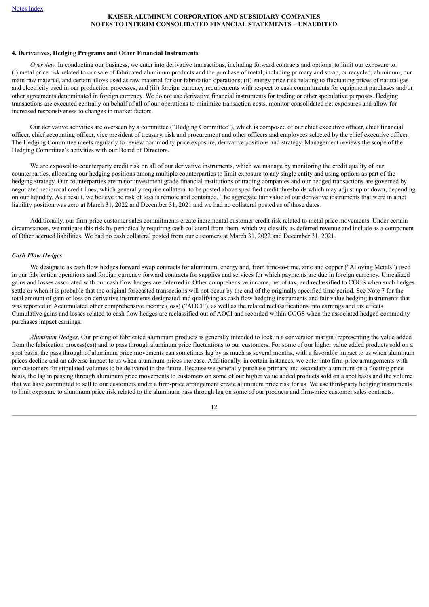### <span id="page-13-0"></span>**4. Derivatives, Hedging Programs and Other Financial Instruments**

*Overview.* In conducting our business, we enter into derivative transactions, including forward contracts and options, to limit our exposure to: (i) metal price risk related to our sale of fabricated aluminum products and the purchase of metal, including primary and scrap, or recycled, aluminum, our main raw material, and certain alloys used as raw material for our fabrication operations; (ii) energy price risk relating to fluctuating prices of natural gas and electricity used in our production processes; and (iii) foreign currency requirements with respect to cash commitments for equipment purchases and/or other agreements denominated in foreign currency. We do not use derivative financial instruments for trading or other speculative purposes. Hedging transactions are executed centrally on behalf of all of our operations to minimize transaction costs, monitor consolidated net exposures and allow for increased responsiveness to changes in market factors.

Our derivative activities are overseen by a committee ("Hedging Committee"), which is composed of our chief executive officer, chief financial officer, chief accounting officer, vice president of treasury, risk and procurement and other officers and employees selected by the chief executive officer. The Hedging Committee meets regularly to review commodity price exposure, derivative positions and strategy. Management reviews the scope of the Hedging Committee's activities with our Board of Directors.

We are exposed to counterparty credit risk on all of our derivative instruments, which we manage by monitoring the credit quality of our counterparties, allocating our hedging positions among multiple counterparties to limit exposure to any single entity and using options as part of the hedging strategy. Our counterparties are major investment grade financial institutions or trading companies and our hedged transactions are governed by negotiated reciprocal credit lines, which generally require collateral to be posted above specified credit thresholds which may adjust up or down, depending on our liquidity. As a result, we believe the risk of loss is remote and contained. The aggregate fair value of our derivative instruments that were in a net liability position was zero at March 31, 2022 and December 31, 2021 and we had no collateral posted as of those dates.

Additionally, our firm-price customer sales commitments create incremental customer credit risk related to metal price movements. Under certain circumstances, we mitigate this risk by periodically requiring cash collateral from them, which we classify as deferred revenue and include as a component of Other accrued liabilities. We had no cash collateral posted from our customers at March 31, 2022 and December 31, 2021.

### *Cash Flow Hedges*

We designate as cash flow hedges forward swap contracts for aluminum, energy and, from time-to-time, zinc and copper ("Alloying Metals") used in our fabrication operations and foreign currency forward contracts for supplies and services for which payments are due in foreign currency. Unrealized gains and losses associated with our cash flow hedges are deferred in Other comprehensive income, net of tax, and reclassified to COGS when such hedges settle or when it is probable that the original forecasted transactions will not occur by the end of the originally specified time period. See Note 7 for the total amount of gain or loss on derivative instruments designated and qualifying as cash flow hedging instruments and fair value hedging instruments that was reported in Accumulated other comprehensive income (loss) ("AOCI"), as well as the related reclassifications into earnings and tax effects. Cumulative gains and losses related to cash flow hedges are reclassified out of AOCI and recorded within COGS when the associated hedged commodity purchases impact earnings.

*Aluminum Hedges*. Our pricing of fabricated aluminum products is generally intended to lock in a conversion margin (representing the value added from the fabrication process(es)) and to pass through aluminum price fluctuations to our customers. For some of our higher value added products sold on a spot basis, the pass through of aluminum price movements can sometimes lag by as much as several months, with a favorable impact to us when aluminum prices decline and an adverse impact to us when aluminum prices increase. Additionally, in certain instances, we enter into firm-price arrangements with our customers for stipulated volumes to be delivered in the future. Because we generally purchase primary and secondary aluminum on a floating price basis, the lag in passing through aluminum price movements to customers on some of our higher value added products sold on a spot basis and the volume that we have committed to sell to our customers under a firm-price arrangement create aluminum price risk for us. We use third-party hedging instruments to limit exposure to aluminum price risk related to the aluminum pass through lag on some of our products and firm-price customer sales contracts.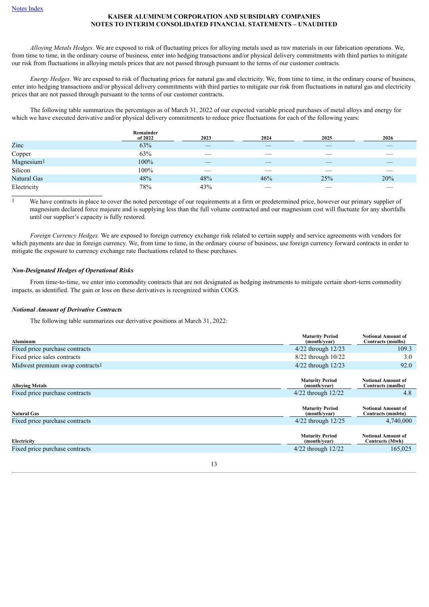*Alloying Metals Hedges*. We are exposed to risk of fluctuating prices for alloying metals used as raw materials in our fabrication operations. We, from time to time, in the ordinary course of business, enter into hedging transactions and/or physical delivery commitments with third parties to mitigate our risk from fluctuations in alloying metals prices that are not passed through pursuant to the terms of our customer contracts.

*Energy Hedges*. We are exposed to risk of fluctuating prices for natural gas and electricity. We, from time to time, in the ordinary course of business, enter into hedging transactions and/or physical delivery commitments with third parties to mitigate our risk from fluctuations in natural gas and electricity prices that are not passed through pursuant to the terms of our customer contracts.

The following table summarizes the percentages as of March 31, 2022 of our expected variable priced purchases of metal alloys and energy for which we have executed derivative and/or physical delivery commitments to reduce price fluctuations for each of the following years:

|                        | Remainder<br>of 2022 | 2023 | 2024 | 2025 | 2026 |
|------------------------|----------------------|------|------|------|------|
| Zinc                   | 63%                  |      |      |      |      |
| Copper                 | 63%                  |      |      |      |      |
| Magnesium <sup>1</sup> | 100%                 | —    |      |      |      |
| Silicon                | 100%                 | __   |      |      |      |
| <b>Natural Gas</b>     | 48%                  | 48%  | 46%  | 25%  | 20%  |
| Electricity            | 78%                  | 43%  |      |      |      |

We have contracts in place to cover the noted percentage of our requirements at a firm or predetermined price, however our primary supplier of magnesium declared force majeure and is supplying less than the full volume contracted and our magnesium cost will fluctuate for any shortfalls until our supplier's capacity is fully restored.

*Foreign Currency Hedges.* We are exposed to foreign currency exchange risk related to certain supply and service agreements with vendors for which payments are due in foreign currency. We, from time to time, in the ordinary course of business, use foreign currency forward contracts in order to mitigate the exposure to currency exchange rate fluctuations related to these purchases.

## *Non-Designated Hedges of Operational Risks*

From time-to-time, we enter into commodity contracts that are not designated as hedging instruments to mitigate certain short-term commodity impacts, as identified. The gain or loss on these derivatives is recognized within COGS.

## *Notional Amount of Derivative Contracts*

The following table summarizes our derivative positions at March 31, 2022:

| <b>Aluminum</b>                             | <b>Maturity Period</b><br>(month/year) | <b>Notional Amount of</b><br>Contracts (mmlbs)      |
|---------------------------------------------|----------------------------------------|-----------------------------------------------------|
| Fixed price purchase contracts              | $4/22$ through $12/23$                 | 109.3                                               |
| Fixed price sales contracts                 | 8/22 through 10/22                     | 3.0                                                 |
| Midwest premium swap contracts <sup>1</sup> | $4/22$ through $12/23$                 | 92.0                                                |
| <b>Alloying Metals</b>                      | <b>Maturity Period</b><br>(month/year) | <b>Notional Amount of</b><br>Contracts (mmlbs)      |
| Fixed price purchase contracts              | $4/22$ through $12/22$                 | 4.8                                                 |
| <b>Natural Gas</b>                          | <b>Maturity Period</b><br>(month/year) | <b>Notional Amount of</b><br>Contracts (mmbtu)      |
| Fixed price purchase contracts              | $4/22$ through $12/25$                 | 4,740,000                                           |
| Electricity                                 | <b>Maturity Period</b><br>(month/year) | <b>Notional Amount of</b><br><b>Contracts (Mwh)</b> |
| Fixed price purchase contracts              | $4/22$ through $12/22$                 | 165,025                                             |
|                                             |                                        |                                                     |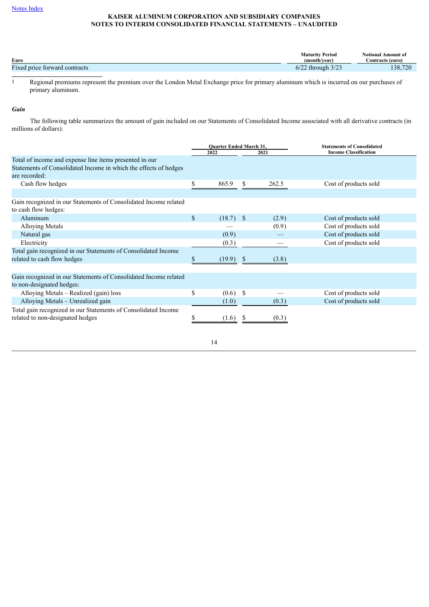| Euro                          | <b>Maturity Period</b><br>(month/year) | Notional Amount of<br><b>Contracts (euro)</b> |
|-------------------------------|----------------------------------------|-----------------------------------------------|
| Fixed price forward contracts | $6/22$ through $3/23$                  | 38.720                                        |
|                               |                                        |                                               |

Regional premiums represent the premium over the London Metal Exchange price for primary aluminum which is incurred on our purchases of primary aluminum.

# *Gain*

The following table summarizes the amount of gain included on our Statements of Consolidated Income associated with all derivative contracts (in millions of dollars):

|                                                                                                                                              |              | <b>Ouarter Ended March 31,</b><br>2022<br>2021 |    |       | <b>Statements of Consolidated</b><br><b>Income Classification</b> |
|----------------------------------------------------------------------------------------------------------------------------------------------|--------------|------------------------------------------------|----|-------|-------------------------------------------------------------------|
| Total of income and expense line items presented in our<br>Statements of Consolidated Income in which the effects of hedges<br>are recorded: |              |                                                |    |       |                                                                   |
| Cash flow hedges                                                                                                                             |              | 865.9                                          | S  | 262.5 | Cost of products sold                                             |
| Gain recognized in our Statements of Consolidated Income related<br>to cash flow hedges:                                                     |              |                                                |    |       |                                                                   |
| Aluminum                                                                                                                                     | $\mathbb{S}$ | $(18.7)$ \$                                    |    | (2.9) | Cost of products sold                                             |
| <b>Alloying Metals</b>                                                                                                                       |              |                                                |    | (0.9) | Cost of products sold                                             |
| Natural gas                                                                                                                                  |              | (0.9)                                          |    |       | Cost of products sold                                             |
| Electricity                                                                                                                                  |              | (0.3)                                          |    |       | Cost of products sold                                             |
| Total gain recognized in our Statements of Consolidated Income<br>related to cash flow hedges                                                | S            | (19.9)                                         | -S | (3.8) |                                                                   |
| Gain recognized in our Statements of Consolidated Income related<br>to non-designated hedges:                                                |              |                                                |    |       |                                                                   |
| Alloying Metals – Realized (gain) loss                                                                                                       | \$           | $(0.6)$ \$                                     |    |       | Cost of products sold                                             |
| Alloying Metals - Unrealized gain                                                                                                            |              | (1.0)                                          |    | (0.3) | Cost of products sold                                             |
| Total gain recognized in our Statements of Consolidated Income<br>related to non-designated hedges                                           | S            | (1.6)                                          | S. | (0.3) |                                                                   |

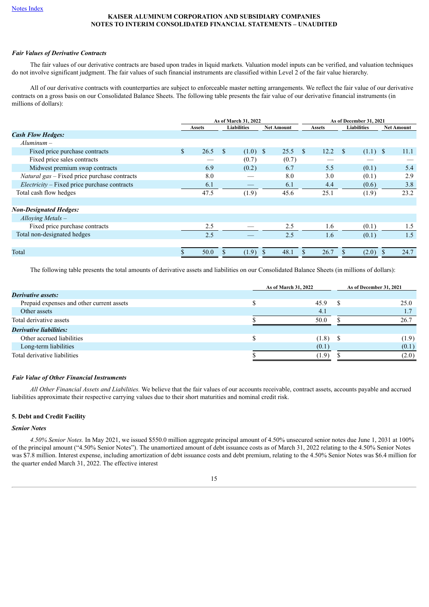# *Fair Values of Derivative Contracts*

The fair values of our derivative contracts are based upon trades in liquid markets. Valuation model inputs can be verified, and valuation techniques do not involve significant judgment. The fair values of such financial instruments are classified within Level 2 of the fair value hierarchy.

All of our derivative contracts with counterparties are subject to enforceable master netting arrangements. We reflect the fair value of our derivative contracts on a gross basis on our Consolidated Balance Sheets. The following table presents the fair value of our derivative financial instruments (in millions of dollars):

|                                                | As of March 31, 2022 |                    |            |  |                   |  | As of December 31, 2021 |                    |            |                   |      |
|------------------------------------------------|----------------------|--------------------|------------|--|-------------------|--|-------------------------|--------------------|------------|-------------------|------|
|                                                | <b>Assets</b>        | <b>Liabilities</b> |            |  | <b>Net Amount</b> |  | <b>Assets</b>           | <b>Liabilities</b> |            | <b>Net Amount</b> |      |
| <b>Cash Flow Hedges:</b>                       |                      |                    |            |  |                   |  |                         |                    |            |                   |      |
| $Aluminum -$                                   |                      |                    |            |  |                   |  |                         |                    |            |                   |      |
| Fixed price purchase contracts                 | \$<br>26.5           | <sup>\$</sup>      | $(1.0)$ \$ |  | $25.5$ \$         |  | 12.2                    | -S                 | $(1.1)$ \$ |                   | 11.1 |
| Fixed price sales contracts                    |                      |                    | (0.7)      |  | (0.7)             |  |                         |                    |            |                   |      |
| Midwest premium swap contracts                 | 6.9                  |                    | (0.2)      |  | 6.7               |  | 5.5                     |                    | (0.1)      |                   | 5.4  |
| Natural gas – Fixed price purchase contracts   | 8.0                  |                    |            |  | 8.0               |  | 3.0                     |                    | (0.1)      |                   | 2.9  |
| $Electricity$ – Fixed price purchase contracts | 6.1                  |                    |            |  | 6.1               |  | 4.4                     |                    | (0.6)      |                   | 3.8  |
| Total cash flow hedges                         | 47.5                 |                    | (1.9)      |  | 45.6              |  | 25.1                    |                    | (1.9)      |                   | 23.2 |
|                                                |                      |                    |            |  |                   |  |                         |                    |            |                   |      |
| <b>Non-Designated Hedges:</b>                  |                      |                    |            |  |                   |  |                         |                    |            |                   |      |
| Alloying Metals $-$                            |                      |                    |            |  |                   |  |                         |                    |            |                   |      |
| Fixed price purchase contracts                 | 2.5                  |                    |            |  | 2.5               |  | 1.6                     |                    | (0.1)      |                   | 1.5  |
| Total non-designated hedges                    | 2.5                  |                    |            |  | 2.5               |  | 1.6                     |                    | (0.1)      |                   | 1.5  |
|                                                |                      |                    |            |  |                   |  |                         |                    |            |                   |      |
| Total                                          | 50.0                 |                    | (1.9)      |  | 48.1              |  | 26.7                    |                    | (2.0)      |                   | 24.7 |

The following table presents the total amounts of derivative assets and liabilities on our Consolidated Balance Sheets (in millions of dollars):

|                                           | As of March 31, 2022 | As of December 31, 2021 |
|-------------------------------------------|----------------------|-------------------------|
| <b>Derivative assets:</b>                 |                      |                         |
| Prepaid expenses and other current assets | 45.9                 | 25.0                    |
| Other assets                              | 4.1                  |                         |
| Total derivative assets                   | 50.0                 | 26.7                    |
| <b>Derivative liabilities:</b>            |                      |                         |
| Other accrued liabilities                 | $(1.8)$ \$           | (1.9)                   |
| Long-term liabilities                     | (0.1)                | (0.1)                   |
| Total derivative liabilities              | (1.9)                | (2.0)                   |

## *Fair Value of Other Financial Instruments*

*All Other Financial Assets and Liabilities.* We believe that the fair values of our accounts receivable, contract assets, accounts payable and accrued liabilities approximate their respective carrying values due to their short maturities and nominal credit risk.

#### <span id="page-16-0"></span>**5. Debt and Credit Facility**

#### *Senior Notes*

*4.50% Senior Notes.* In May 2021, we issued \$550.0 million aggregate principal amount of 4.50% unsecured senior notes due June 1, 2031 at 100% of the principal amount ("4.50% Senior Notes"). The unamortized amount of debt issuance costs as of March 31, 2022 relating to the 4.50% Senior Notes was \$7.8 million. Interest expense, including amortization of debt issuance costs and debt premium, relating to the 4.50% Senior Notes was \$6.4 million for the quarter ended March 31, 2022. The effective interest

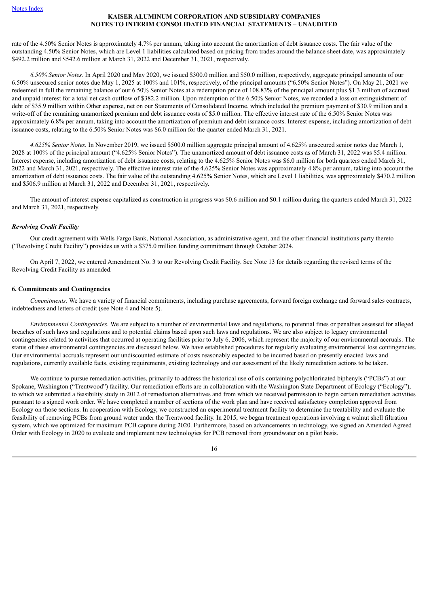rate of the 4.50% Senior Notes is approximately 4.7% per annum, taking into account the amortization of debt issuance costs. The fair value of the outstanding 4.50% Senior Notes, which are Level 1 liabilities calculated based on pricing from trades around the balance sheet date, was approximately \$492.2 million and \$542.6 million at March 31, 2022 and December 31, 2021, respectively.

*6.50% Senior Notes.* In April 2020 and May 2020, we issued \$300.0 million and \$50.0 million, respectively, aggregate principal amounts of our 6.50% unsecured senior notes due May 1, 2025 at 100% and 101%, respectively, of the principal amounts ("6.50% Senior Notes"). On May 21, 2021 we redeemed in full the remaining balance of our 6.50% Senior Notes at a redemption price of 108.83% of the principal amount plus \$1.3 million of accrued and unpaid interest for a total net cash outflow of \$382.2 million. Upon redemption of the 6.50% Senior Notes, we recorded a loss on extinguishment of debt of \$35.9 million within Other expense, net on our Statements of Consolidated Income, which included the premium payment of \$30.9 million and a write-off of the remaining unamortized premium and debt issuance costs of \$5.0 million. The effective interest rate of the 6.50% Senior Notes was approximately 6.8% per annum, taking into account the amortization of premium and debt issuance costs. Interest expense, including amortization of debt issuance costs, relating to the 6.50% Senior Notes was \$6.0 million for the quarter ended March 31, 2021.

*4.625% Senior Notes.* In November 2019, we issued \$500.0 million aggregate principal amount of 4.625% unsecured senior notes due March 1, 2028 at 100% of the principal amount ("4.625% Senior Notes"). The unamortized amount of debt issuance costs as of March 31, 2022 was \$5.4 million. Interest expense, including amortization of debt issuance costs, relating to the 4.625% Senior Notes was \$6.0 million for both quarters ended March 31, 2022 and March 31, 2021, respectively. The effective interest rate of the 4.625% Senior Notes was approximately 4.8% per annum, taking into account the amortization of debt issuance costs. The fair value of the outstanding 4.625% Senior Notes, which are Level 1 liabilities, was approximately \$470.2 million and \$506.9 million at March 31, 2022 and December 31, 2021, respectively.

The amount of interest expense capitalized as construction in progress was \$0.6 million and \$0.1 million during the quarters ended March 31, 2022 and March 31, 2021, respectively.

### *Revolving Credit Facility*

Our credit agreement with Wells Fargo Bank, National Association, as administrative agent, and the other financial institutions party thereto ("Revolving Credit Facility") provides us with a \$375.0 million funding commitment through October 2024.

On April 7, 2022, we entered Amendment No. 3 to our Revolving Credit Facility. See Note 13 for details regarding the revised terms of the Revolving Credit Facility as amended.

#### <span id="page-17-0"></span>**6. Commitments and Contingencies**

*Commitments.* We have a variety of financial commitments, including purchase agreements, forward foreign exchange and forward sales contracts, indebtedness and letters of credit (see Note 4 and Note 5).

*Environmental Contingencies.* We are subject to a number of environmental laws and regulations, to potential fines or penalties assessed for alleged breaches of such laws and regulations and to potential claims based upon such laws and regulations. We are also subject to legacy environmental contingencies related to activities that occurred at operating facilities prior to July 6, 2006, which represent the majority of our environmental accruals. The status of these environmental contingencies are discussed below. We have established procedures for regularly evaluating environmental loss contingencies. Our environmental accruals represent our undiscounted estimate of costs reasonably expected to be incurred based on presently enacted laws and regulations, currently available facts, existing requirements, existing technology and our assessment of the likely remediation actions to be taken.

We continue to pursue remediation activities, primarily to address the historical use of oils containing polychlorinated biphenyls ("PCBs") at our Spokane, Washington ("Trentwood") facility. Our remediation efforts are in collaboration with the Washington State Department of Ecology ("Ecology"), to which we submitted a feasibility study in 2012 of remediation alternatives and from which we received permission to begin certain remediation activities pursuant to a signed work order. We have completed a number of sections of the work plan and have received satisfactory completion approval from Ecology on those sections. In cooperation with Ecology, we constructed an experimental treatment facility to determine the treatability and evaluate the feasibility of removing PCBs from ground water under the Trentwood facility. In 2015, we began treatment operations involving a walnut shell filtration system, which we optimized for maximum PCB capture during 2020. Furthermore, based on advancements in technology, we signed an Amended Agreed Order with Ecology in 2020 to evaluate and implement new technologies for PCB removal from groundwater on a pilot basis.

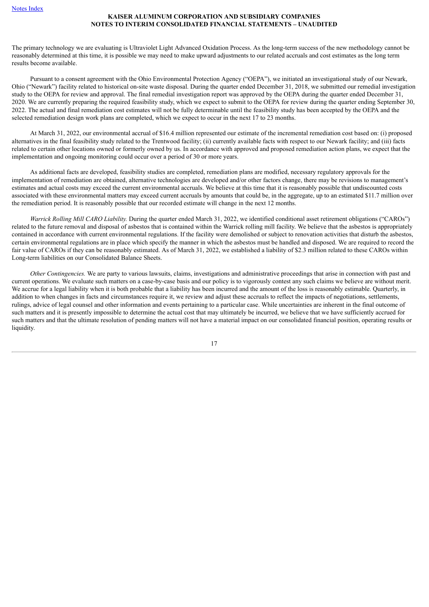The primary technology we are evaluating is Ultraviolet Light Advanced Oxidation Process. As the long-term success of the new methodology cannot be reasonably determined at this time, it is possible we may need to make upward adjustments to our related accruals and cost estimates as the long term results become available.

Pursuant to a consent agreement with the Ohio Environmental Protection Agency ("OEPA"), we initiated an investigational study of our Newark, Ohio ("Newark") facility related to historical on-site waste disposal. During the quarter ended December 31, 2018, we submitted our remedial investigation study to the OEPA for review and approval. The final remedial investigation report was approved by the OEPA during the quarter ended December 31, 2020. We are currently preparing the required feasibility study, which we expect to submit to the OEPA for review during the quarter ending September 30, 2022. The actual and final remediation cost estimates will not be fully determinable until the feasibility study has been accepted by the OEPA and the selected remediation design work plans are completed, which we expect to occur in the next 17 to 23 months.

At March 31, 2022, our environmental accrual of \$16.4 million represented our estimate of the incremental remediation cost based on: (i) proposed alternatives in the final feasibility study related to the Trentwood facility; (ii) currently available facts with respect to our Newark facility; and (iii) facts related to certain other locations owned or formerly owned by us. In accordance with approved and proposed remediation action plans, we expect that the implementation and ongoing monitoring could occur over a period of 30 or more years.

As additional facts are developed, feasibility studies are completed, remediation plans are modified, necessary regulatory approvals for the implementation of remediation are obtained, alternative technologies are developed and/or other factors change, there may be revisions to management's estimates and actual costs may exceed the current environmental accruals. We believe at this time that it is reasonably possible that undiscounted costs associated with these environmental matters may exceed current accruals by amounts that could be, in the aggregate, up to an estimated \$11.7 million over the remediation period. It is reasonably possible that our recorded estimate will change in the next 12 months.

*Warrick Rolling Mill CARO Liability.* During the quarter ended March 31, 2022, we identified conditional asset retirement obligations ("CAROs") related to the future removal and disposal of asbestos that is contained within the Warrick rolling mill facility. We believe that the asbestos is appropriately contained in accordance with current environmental regulations. If the facility were demolished or subject to renovation activities that disturb the asbestos, certain environmental regulations are in place which specify the manner in which the asbestos must be handled and disposed. We are required to record the fair value of CAROs if they can be reasonably estimated. As of March 31, 2022, we established a liability of \$2.3 million related to these CAROs within Long-term liabilities on our Consolidated Balance Sheets.

*Other Contingencies.* We are party to various lawsuits, claims, investigations and administrative proceedings that arise in connection with past and current operations. We evaluate such matters on a case-by-case basis and our policy is to vigorously contest any such claims we believe are without merit. We accrue for a legal liability when it is both probable that a liability has been incurred and the amount of the loss is reasonably estimable. Quarterly, in addition to when changes in facts and circumstances require it, we review and adjust these accruals to reflect the impacts of negotiations, settlements, rulings, advice of legal counsel and other information and events pertaining to a particular case. While uncertainties are inherent in the final outcome of such matters and it is presently impossible to determine the actual cost that may ultimately be incurred, we believe that we have sufficiently accrued for such matters and that the ultimate resolution of pending matters will not have a material impact on our consolidated financial position, operating results or liquidity.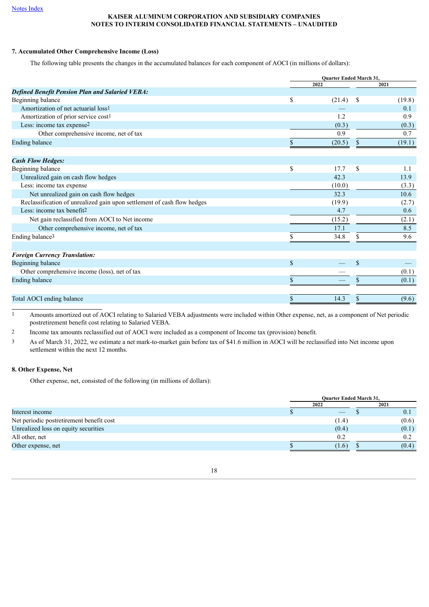# <span id="page-19-0"></span>**7. Accumulated Other Comprehensive Income (Loss)**

The following table presents the changes in the accumulated balances for each component of AOCI (in millions of dollars):

|                                                                         | Quarter Ended March 31, |    |        |  |
|-------------------------------------------------------------------------|-------------------------|----|--------|--|
|                                                                         | 2022                    |    | 2021   |  |
| <b>Defined Benefit Pension Plan and Salaried VEBA:</b>                  |                         |    |        |  |
| Beginning balance                                                       | \$<br>(21.4)            | -S | (19.8) |  |
| Amortization of net actuarial loss <sup>1</sup>                         |                         |    | 0.1    |  |
| Amortization of prior service cost <sup>1</sup>                         | 1.2                     |    | 0.9    |  |
| Less: income tax expense <sup>2</sup>                                   | (0.3)                   |    | (0.3)  |  |
| Other comprehensive income, net of tax                                  | 0.9                     |    | 0.7    |  |
| <b>Ending balance</b>                                                   | (20.5)                  | \$ | (19.1) |  |
| <b>Cash Flow Hedges:</b>                                                |                         |    |        |  |
| Beginning balance                                                       | \$<br>17.7              | \$ | 1.1    |  |
| Unrealized gain on cash flow hedges                                     | 42.3                    |    | 13.9   |  |
| Less: income tax expense                                                | (10.0)                  |    | (3.3)  |  |
| Net unrealized gain on cash flow hedges                                 | 32.3                    |    | 10.6   |  |
| Reclassification of unrealized gain upon settlement of cash flow hedges | (19.9)                  |    | (2.7)  |  |
| Less: income tax benefit <sup>2</sup>                                   | 4.7                     |    | 0.6    |  |
| Net gain reclassified from AOCI to Net income                           | (15.2)                  |    | (2.1)  |  |
| Other comprehensive income, net of tax                                  | 17.1                    |    | 8.5    |  |
| Ending balance <sup>3</sup>                                             | 34.8                    | \$ | 9.6    |  |
| <b>Foreign Currency Translation:</b>                                    |                         |    |        |  |
| Beginning balance                                                       | \$                      | \$ |        |  |
| Other comprehensive income (loss), net of tax                           |                         |    | (0.1)  |  |
| <b>Ending balance</b>                                                   |                         |    | (0.1)  |  |
| Total AOCI ending balance                                               | \$<br>14.3              | \$ | (9.6)  |  |

1 Amounts amortized out of AOCI relating to Salaried VEBA adjustments were included within Other expense, net, as a component of Net periodic postretirement benefit cost relating to Salaried VEBA.

2 Income tax amounts reclassified out of AOCI were included as a component of Income tax (provision) benefit.

3 As of March 31, 2022, we estimate a net mark-to-market gain before tax of \$41.6 million in AOCI will be reclassified into Net income upon settlement within the next 12 months.

# <span id="page-19-1"></span>**8. Other Expense, Net**

Other expense, net, consisted of the following (in millions of dollars):

|                                          |      | <b>Ouarter Ended March 31,</b> |  |       |  |  |
|------------------------------------------|------|--------------------------------|--|-------|--|--|
|                                          | 2022 |                                |  | 2021  |  |  |
| Interest income                          |      |                                |  | 0.1   |  |  |
| Net periodic postretirement benefit cost |      | (1.4)                          |  | (0.6) |  |  |
| Unrealized loss on equity securities     |      | (0.4)                          |  | (0.1) |  |  |
| All other, net                           |      | 0.2                            |  |       |  |  |
| Other expense, net                       |      | (1.6)                          |  | (0.4) |  |  |
|                                          |      |                                |  |       |  |  |

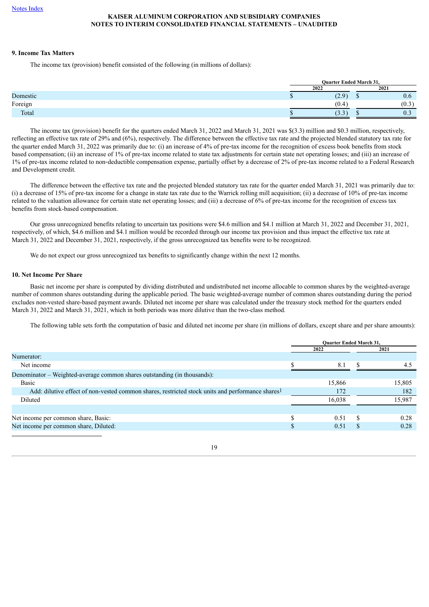## <span id="page-20-0"></span>**9. Income Tax Matters**

The income tax (provision) benefit consisted of the following (in millions of dollars):

|          | <b>Ouarter Ended March 31,</b> |  |                |  |  |
|----------|--------------------------------|--|----------------|--|--|
|          | 2022                           |  | 2021           |  |  |
| Domestic | (20)<br>. <u>.</u>             |  | V.O            |  |  |
| Foreign  | (0.4)                          |  | V.J            |  |  |
| Total    | $\sqrt{2}$<br>ر . ر            |  | $\mathsf{U}$ . |  |  |

The income tax (provision) benefit for the quarters ended March 31, 2022 and March 31, 2021 was \$(3.3) million and \$0.3 million, respectively, reflecting an effective tax rate of 29% and (6%), respectively. The difference between the effective tax rate and the projected blended statutory tax rate for the quarter ended March 31, 2022 was primarily due to: (i) an increase of 4% of pre-tax income for the recognition of excess book benefits from stock based compensation; (ii) an increase of 1% of pre-tax income related to state tax adjustments for certain state net operating losses; and (iii) an increase of 1% of pre-tax income related to non‑deductible compensation expense, partially offset by a decrease of 2% of pre-tax income related to a Federal Research and Development credit.

The difference between the effective tax rate and the projected blended statutory tax rate for the quarter ended March 31, 2021 was primarily due to: (i) a decrease of 15% of pre-tax income for a change in state tax rate due to the Warrick rolling mill acquisition; (ii) a decrease of 10% of pre-tax income related to the valuation allowance for certain state net operating losses; and (iii) a decrease of 6% of pre-tax income for the recognition of excess tax benefits from stock-based compensation.

Our gross unrecognized benefits relating to uncertain tax positions were \$4.6 million and \$4.1 million at March 31, 2022 and December 31, 2021, respectively, of which, \$4.6 million and \$4.1 million would be recorded through our income tax provision and thus impact the effective tax rate at March 31, 2022 and December 31, 2021, respectively, if the gross unrecognized tax benefits were to be recognized.

We do not expect our gross unrecognized tax benefits to significantly change within the next 12 months.

#### <span id="page-20-1"></span>**10. Net Income Per Share**

Basic net income per share is computed by dividing distributed and undistributed net income allocable to common shares by the weighted-average number of common shares outstanding during the applicable period. The basic weighted-average number of common shares outstanding during the period excludes non-vested share-based payment awards. Diluted net income per share was calculated under the treasury stock method for the quarters ended March 31, 2022 and March 31, 2021, which in both periods was more dilutive than the two-class method.

The following table sets forth the computation of basic and diluted net income per share (in millions of dollars, except share and per share amounts):

|                                                                                                              | <b>Ouarter Ended March 31,</b> |        |  |        |
|--------------------------------------------------------------------------------------------------------------|--------------------------------|--------|--|--------|
|                                                                                                              |                                | 2022   |  | 2021   |
| Numerator:                                                                                                   |                                |        |  |        |
| Net income                                                                                                   |                                | 8.1    |  | 4.5    |
| Denominator – Weighted-average common shares outstanding (in thousands):                                     |                                |        |  |        |
| Basic                                                                                                        |                                | 15,866 |  | 15,805 |
| Add: dilutive effect of non-vested common shares, restricted stock units and performance shares <sup>1</sup> |                                | 172    |  | 182    |
| Diluted                                                                                                      |                                | 16.038 |  | 15,987 |
|                                                                                                              |                                |        |  |        |
| Net income per common share, Basic:                                                                          |                                | 0.51   |  | 0.28   |
| Net income per common share, Diluted:                                                                        |                                | 0.51   |  | 0.28   |
|                                                                                                              |                                |        |  |        |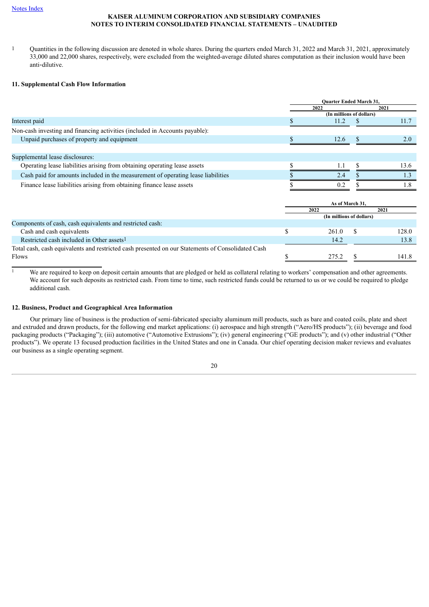1 Quantities in the following discussion are denoted in whole shares. During the quarters ended March 31, 2022 and March 31, 2021, approximately 33,000 and 22,000 shares, respectively, were excluded from the weighted-average diluted shares computation as their inclusion would have been anti-dilutive.

### <span id="page-21-0"></span>**11. Supplemental Cash Flow Information**

|                                                                                  | <b>Ouarter Ended March 31.</b> |                          |  |      |
|----------------------------------------------------------------------------------|--------------------------------|--------------------------|--|------|
|                                                                                  |                                | 2022                     |  | 2021 |
|                                                                                  |                                | (In millions of dollars) |  |      |
| Interest paid                                                                    |                                | 11.2                     |  | 11.7 |
| Non-cash investing and financing activities (included in Accounts payable):      |                                |                          |  |      |
| Unpaid purchases of property and equipment                                       |                                | 12.6                     |  |      |
|                                                                                  |                                |                          |  |      |
| Supplemental lease disclosures:                                                  |                                |                          |  |      |
| Operating lease liabilities arising from obtaining operating lease assets        |                                |                          |  | 13.6 |
| Cash paid for amounts included in the measurement of operating lease liabilities |                                | 2.4                      |  |      |
| Finance lease liabilities arising from obtaining finance lease assets            |                                |                          |  |      |

|                                                                                                   | As of March 31. |                          |  |       |  |
|---------------------------------------------------------------------------------------------------|-----------------|--------------------------|--|-------|--|
|                                                                                                   |                 | 2022                     |  | 2021  |  |
|                                                                                                   |                 | (In millions of dollars) |  |       |  |
| Components of cash, cash equivalents and restricted cash:                                         |                 |                          |  |       |  |
| Cash and cash equivalents                                                                         |                 | 261.0                    |  | 128.0 |  |
| Restricted cash included in Other assets <sup>1</sup>                                             |                 | 14.2                     |  | 13.8  |  |
| Total cash, cash equivalents and restricted cash presented on our Statements of Consolidated Cash |                 |                          |  |       |  |
| <b>Flows</b>                                                                                      |                 | 275.2                    |  | 141.8 |  |

<sup>1</sup> We are required to keep on deposit certain amounts that are pledged or held as collateral relating to workers' compensation and other agreements. We account for such deposits as restricted cash. From time to time, such restricted funds could be returned to us or we could be required to pledge additional cash.

### <span id="page-21-1"></span>**12. Business, Product and Geographical Area Information**

Our primary line of business is the production of semi-fabricated specialty aluminum mill products, such as bare and coated coils, plate and sheet and extruded and drawn products, for the following end market applications: (i) aerospace and high strength ("Aero/HS products"); (ii) beverage and food packaging products ("Packaging"); (iii) automotive ("Automotive Extrusions"); (iv) general engineering ("GE products"); and (v) other industrial ("Other products"). We operate 13 focused production facilities in the United States and one in Canada. Our chief operating decision maker reviews and evaluates our business as a single operating segment.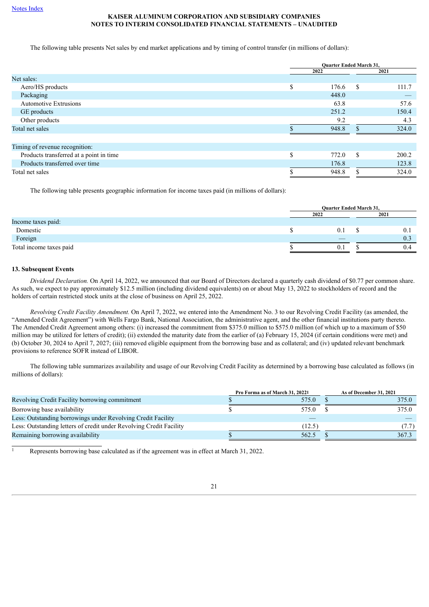The following table presents Net sales by end market applications and by timing of control transfer (in millions of dollars):

|                                         | <b>Ouarter Ended March 31,</b> |               |       |  |
|-----------------------------------------|--------------------------------|---------------|-------|--|
|                                         | 2022                           |               | 2021  |  |
| Net sales:                              |                                |               |       |  |
| Aero/HS products                        | \$<br>176.6                    | <sup>\$</sup> | 111.7 |  |
| Packaging                               | 448.0                          |               |       |  |
| <b>Automotive Extrusions</b>            | 63.8                           |               | 57.6  |  |
| GE products                             | 251.2                          |               | 150.4 |  |
| Other products                          | 9.2                            |               | 4.3   |  |
| Total net sales                         | 948.8                          | \$            | 324.0 |  |
|                                         |                                |               |       |  |
| Timing of revenue recognition:          |                                |               |       |  |
| Products transferred at a point in time | \$<br>772.0                    | \$            | 200.2 |  |
| Products transferred over time          | 176.8                          |               | 123.8 |  |
| Total net sales                         | 948.8                          | \$            | 324.0 |  |

The following table presents geographic information for income taxes paid (in millions of dollars):

|                         | <b>Ouarter Ended March 31,</b> |  |      |  |  |  |
|-------------------------|--------------------------------|--|------|--|--|--|
|                         | 2022                           |  | 2021 |  |  |  |
| Income taxes paid:      |                                |  |      |  |  |  |
| Domestic                | $0_{\cdot}$                    |  | 0.1  |  |  |  |
| Foreign                 |                                |  | 0.3  |  |  |  |
| Total income taxes paid |                                |  | J.4  |  |  |  |

## <span id="page-22-0"></span>**13. Subsequent Events**

*Dividend Declaration.* On April 14, 2022, we announced that our Board of Directors declared a quarterly cash dividend of \$0.77 per common share. As such, we expect to pay approximately \$12.5 million (including dividend equivalents) on or about May 13, 2022 to stockholders of record and the holders of certain restricted stock units at the close of business on April 25, 2022.

*Revolving Credit Facility Amendment.* On April 7, 2022, we entered into the Amendment No. 3 to our Revolving Credit Facility (as amended, the "Amended Credit Agreement") with Wells Fargo Bank, National Association, the administrative agent, and the other financial institutions party thereto. The Amended Credit Agreement among others: (i) increased the commitment from \$375.0 million to \$575.0 million (of which up to a maximum of \$50 million may be utilized for letters of credit); (ii) extended the maturity date from the earlier of (a) February 15, 2024 (if certain conditions were met) and (b) October 30, 2024 to April 7, 2027; (iii) removed eligible equipment from the borrowing base and as collateral; and (iv) updated relevant benchmark provisions to reference SOFR instead of LIBOR.

The following table summarizes availability and usage of our Revolving Credit Facility as determined by a borrowing base calculated as follows (in millions of dollars):

|                                                                     | Pro Forma as of March 31, 20221 | As of December 31, 2021 |  |  |  |
|---------------------------------------------------------------------|---------------------------------|-------------------------|--|--|--|
| Revolving Credit Facility borrowing commitment                      | 575.0                           | 375.0                   |  |  |  |
| Borrowing base availability                                         | 575.0                           | 375.0                   |  |  |  |
| Less: Outstanding borrowings under Revolving Credit Facility        |                                 |                         |  |  |  |
| Less: Outstanding letters of credit under Revolving Credit Facility | (12.5)                          | (7.7)                   |  |  |  |
| Remaining borrowing availability                                    | 562.5                           | 367.3                   |  |  |  |

Represents borrowing base calculated as if the agreement was in effect at March 31, 2022.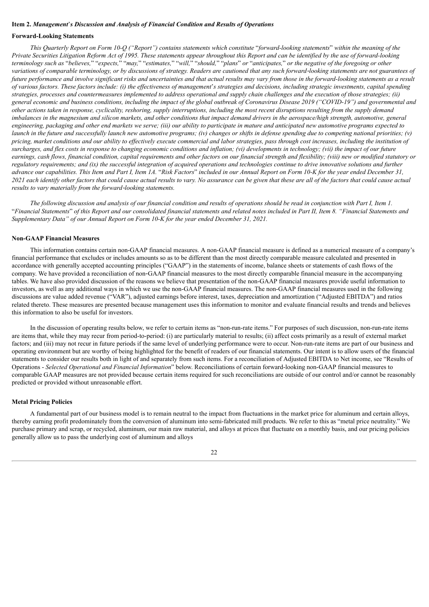#### <span id="page-23-0"></span>**Item 2.** *Management*'*s Discussion and Analysis of Financial Condition and Results of Operations*

#### **Forward-Looking Statements**

This Quarterly Report on Form 10-Q ("Report") contains statements which constitute "forward-looking statements" within the meaning of the Private Securities Litigation Reform Act of 1995. These statements appear throughout this Report and can be identified by the use of forward-looking terminology such as "believes," "expects," "may," "estimates," "will," "should," "plans" or "anticipates," or the negative of the foregoing or other variations of comparable terminology, or by discussions of strategy. Readers are cautioned that any such forward-looking statements are not guarantees of future performance and involve significant risks and uncertainties and that actual results may vary from those in the forward-looking statements as a result of various factors. These factors include: (i) the effectiveness of management's strategies and decisions, including strategic investments, capital spending strategies, processes and countermeasures implemented to address operational and supply chain challenges and the execution of those strategies; (ii) general economic and business conditions, including the impact of the global outbreak of Coronavirus Disease 2019 ("COVID-19") and governmental and other actions taken in response, cyclicality, reshoring, supply interruptions, including the most recent disruptions resulting from the supply demand imbalances in the magnesium and silicon markets, and other conditions that impact demand drivers in the aerospace/high strength, automotive, general engineering, packaging and other end markets we serve; (iii) our ability to participate in mature and anticipated new automotive programs expected to launch in the future and successfully launch new automotive programs; (iv) changes or shifts in defense spending due to competing national priorities; (v) pricing, market conditions and our ability to effectively execute commercial and labor strategies, pass through cost increases, including the institution of surcharges, and flex costs in response to changing economic conditions and inflation; (vi) developments in technology; (vii) the impact of our future earnings, cash flows, financial condition, capital requirements and other factors on our financial strength and flexibility; (viii) new or modified statutory or regulatory requirements; and (ix) the successful integration of acquired operations and technologies continue to drive innovative solutions and further advance our capabilities. This Item and Part I, Item 1A. "Risk Factors" included in our Annual Report on Form 10-K for the year ended December 31, 2021 each identify other factors that could cause actual results to vary. No assurance can be given that these are all of the factors that could cause actual *results to vary materially from the forward*‑*looking statements.*

The following discussion and analysis of our financial condition and results of operations should be read in conjunction with Part I, Item 1. "Financial Statements" of this Report and our consolidated financial statements and related notes included in Part II, Item 8. "Financial Statements and *Supplementary Data" of our Annual Report on Form 10-K for the year ended December 31, 2021.*

#### **Non-GAAP Financial Measures**

This information contains certain non-GAAP financial measures. A non-GAAP financial measure is defined as a numerical measure of a company's financial performance that excludes or includes amounts so as to be different than the most directly comparable measure calculated and presented in accordance with generally accepted accounting principles ("GAAP") in the statements of income, balance sheets or statements of cash flows of the company. We have provided a reconciliation of non‑GAAP financial measures to the most directly comparable financial measure in the accompanying tables. We have also provided discussion of the reasons we believe that presentation of the non-GAAP financial measures provide useful information to investors, as well as any additional ways in which we use the non-GAAP financial measures. The non-GAAP financial measures used in the following discussions are value added revenue ("VAR"), adjusted earnings before interest, taxes, depreciation and amortization ("Adjusted EBITDA") and ratios related thereto. These measures are presented because management uses this information to monitor and evaluate financial results and trends and believes this information to also be useful for investors.

In the discussion of operating results below, we refer to certain items as "non-run-rate items." For purposes of such discussion, non-run-rate items are items that, while they may recur from period-to-period: (i) are particularly material to results; (ii) affect costs primarily as a result of external market factors; and (iii) may not recur in future periods if the same level of underlying performance were to occur. Non-run-rate items are part of our business and operating environment but are worthy of being highlighted for the benefit of readers of our financial statements. Our intent is to allow users of the financial statements to consider our results both in light of and separately from such items. For a reconciliation of Adjusted EBITDA to Net income, see "Results of Operations - *Selected Operational and Financial Information*" below. Reconciliations of certain forward-looking non-GAAP financial measures to comparable GAAP measures are not provided because certain items required for such reconciliations are outside of our control and/or cannot be reasonably predicted or provided without unreasonable effort.

#### **Metal Pricing Policies**

A fundamental part of our business model is to remain neutral to the impact from fluctuations in the market price for aluminum and certain alloys, thereby earning profit predominately from the conversion of aluminum into semi-fabricated mill products. We refer to this as "metal price neutrality." We purchase primary and scrap, or recycled, aluminum, our main raw material, and alloys at prices that fluctuate on a monthly basis, and our pricing policies generally allow us to pass the underlying cost of aluminum and alloys

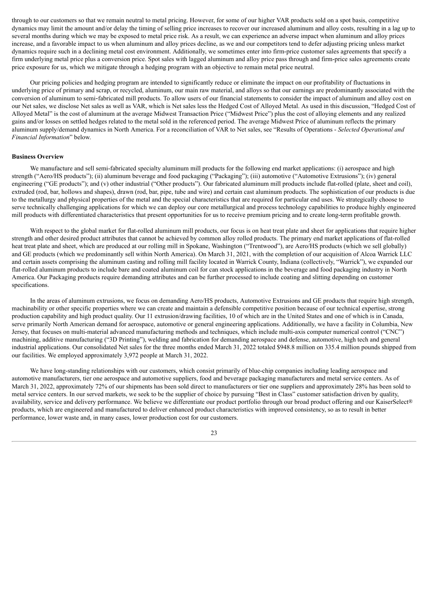through to our customers so that we remain neutral to metal pricing. However, for some of our higher VAR products sold on a spot basis, competitive dynamics may limit the amount and/or delay the timing of selling price increases to recover our increased aluminum and alloy costs, resulting in a lag up to several months during which we may be exposed to metal price risk. As a result, we can experience an adverse impact when aluminum and alloy prices increase, and a favorable impact to us when aluminum and alloy prices decline, as we and our competitors tend to defer adjusting pricing unless market dynamics require such in a declining metal cost environment. Additionally, we sometimes enter into firm-price customer sales agreements that specify a firm underlying metal price plus a conversion price. Spot sales with lagged aluminum and alloy price pass through and firm-price sales agreements create price exposure for us, which we mitigate through a hedging program with an objective to remain metal price neutral.

Our pricing policies and hedging program are intended to significantly reduce or eliminate the impact on our profitability of fluctuations in underlying price of primary and scrap, or recycled, aluminum, our main raw material, and alloys so that our earnings are predominantly associated with the conversion of aluminum to semi-fabricated mill products. To allow users of our financial statements to consider the impact of aluminum and alloy cost on our Net sales, we disclose Net sales as well as VAR, which is Net sales less the Hedged Cost of Alloyed Metal. As used in this discussion, "Hedged Cost of Alloyed Metal" is the cost of aluminum at the average Midwest Transaction Price ("Midwest Price") plus the cost of alloying elements and any realized gains and/or losses on settled hedges related to the metal sold in the referenced period. The average Midwest Price of aluminum reflects the primary aluminum supply/demand dynamics in North America. For a reconciliation of VAR to Net sales, see "Results of Operations - *Selected Operational and Financial Information*" below.

#### **Business Overview**

We manufacture and sell semi-fabricated specialty aluminum mill products for the following end market applications: (i) aerospace and high strength ("Aero/HS products"); (ii) aluminum beverage and food packaging ("Packaging"); (iii) automotive ("Automotive Extrusions"); (iv) general engineering ("GE products"); and (v) other industrial ("Other products"). Our fabricated aluminum mill products include flat-rolled (plate, sheet and coil), extruded (rod, bar, hollows and shapes), drawn (rod, bar, pipe, tube and wire) and certain cast aluminum products. The sophistication of our products is due to the metallurgy and physical properties of the metal and the special characteristics that are required for particular end uses. We strategically choose to serve technically challenging applications for which we can deploy our core metallurgical and process technology capabilities to produce highly engineered mill products with differentiated characteristics that present opportunities for us to receive premium pricing and to create long-term profitable growth.

With respect to the global market for flat-rolled aluminum mill products, our focus is on heat treat plate and sheet for applications that require higher strength and other desired product attributes that cannot be achieved by common alloy rolled products. The primary end market applications of flat-rolled heat treat plate and sheet, which are produced at our rolling mill in Spokane, Washington ("Trentwood"), are Aero/HS products (which we sell globally) and GE products (which we predominantly sell within North America). On March 31, 2021, with the completion of our acquisition of Alcoa Warrick LLC and certain assets comprising the aluminum casting and rolling mill facility located in Warrick County, Indiana (collectively, "Warrick"), we expanded our flat-rolled aluminum products to include bare and coated aluminum coil for can stock applications in the beverage and food packaging industry in North America. Our Packaging products require demanding attributes and can be further processed to include coating and slitting depending on customer specifications.

In the areas of aluminum extrusions, we focus on demanding Aero/HS products, Automotive Extrusions and GE products that require high strength, machinability or other specific properties where we can create and maintain a defensible competitive position because of our technical expertise, strong production capability and high product quality. Our 11 extrusion/drawing facilities, 10 of which are in the United States and one of which is in Canada, serve primarily North American demand for aerospace, automotive or general engineering applications. Additionally, we have a facility in Columbia, New Jersey, that focuses on multi-material advanced manufacturing methods and techniques, which include multi-axis computer numerical control ("CNC") machining, additive manufacturing ("3D Printing"), welding and fabrication for demanding aerospace and defense, automotive, high tech and general industrial applications. Our consolidated Net sales for the three months ended March 31, 2022 totaled \$948.8 million on 335.4 million pounds shipped from our facilities. We employed approximately 3,972 people at March 31, 2022.

We have long-standing relationships with our customers, which consist primarily of blue-chip companies including leading aerospace and automotive manufacturers, tier one aerospace and automotive suppliers, food and beverage packaging manufacturers and metal service centers. As of March 31, 2022, approximately 72% of our shipments has been sold direct to manufacturers or tier one suppliers and approximately 28% has been sold to metal service centers. In our served markets, we seek to be the supplier of choice by pursuing "Best in Class" customer satisfaction driven by quality, availability, service and delivery performance. We believe we differentiate our product portfolio through our broad product offering and our KaiserSelect® products, which are engineered and manufactured to deliver enhanced product characteristics with improved consistency, so as to result in better performance, lower waste and, in many cases, lower production cost for our customers.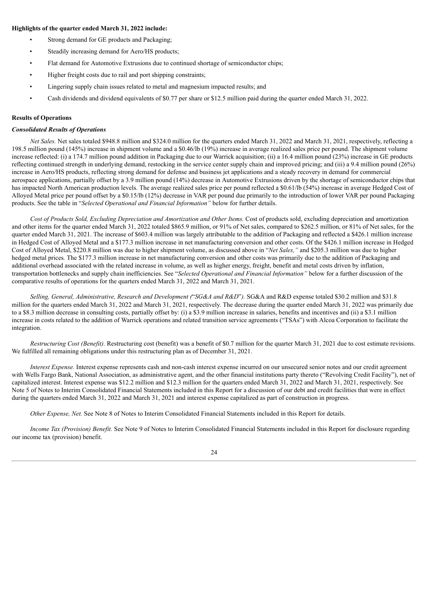#### **Highlights of the quarter ended March 31, 2022 include:**

- Strong demand for GE products and Packaging;
- Steadily increasing demand for Aero/HS products;
- Flat demand for Automotive Extrusions due to continued shortage of semiconductor chips;
- Higher freight costs due to rail and port shipping constraints;
- Lingering supply chain issues related to metal and magnesium impacted results; and
- Cash dividends and dividend equivalents of \$0.77 per share or \$12.5 million paid during the quarter ended March 31, 2022.

#### **Results of Operations**

#### *Consolidated Results of Operations*

*Net Sales.* Net sales totaled \$948.8 million and \$324.0 million for the quarters ended March 31, 2022 and March 31, 2021, respectively, reflecting a 198.5 million pound (145%) increase in shipment volume and a \$0.46/lb (19%) increase in average realized sales price per pound. The shipment volume increase reflected: (i) a 174.7 million pound addition in Packaging due to our Warrick acquisition; (ii) a 16.4 million pound (23%) increase in GE products reflecting continued strength in underlying demand, restocking in the service center supply chain and improved pricing; and (iii) a 9.4 million pound (26%) increase in Aero/HS products, reflecting strong demand for defense and business jet applications and a steady recovery in demand for commercial aerospace applications, partially offset by a 3.9 million pound (14%) decrease in Automotive Extrusions driven by the shortage of semiconductor chips that has impacted North American production levels. The average realized sales price per pound reflected a \$0.61/lb (54%) increase in average Hedged Cost of Alloyed Metal price per pound offset by a \$0.15/lb (12%) decrease in VAR per pound due primarily to the introduction of lower VAR per pound Packaging products. See the table in "*Selected Operational and Financial Information"* below for further details.

*Cost of Products Sold, Excluding Depreciation and Amortization and Other Items.* Cost of products sold, excluding depreciation and amortization and other items for the quarter ended March 31, 2022 totaled \$865.9 million, or 91% of Net sales, compared to \$262.5 million, or 81% of Net sales, for the quarter ended March 31, 2021. The increase of \$603.4 million was largely attributable to the addition of Packaging and reflected a \$426.1 million increase in Hedged Cost of Alloyed Metal and a \$177.3 million increase in net manufacturing conversion and other costs. Of the \$426.1 million increase in Hedged Cost of Alloyed Metal, \$220.8 million was due to higher shipment volume, as discussed above in "*Net Sales,"* and \$205.3 million was due to higher hedged metal prices*.* The \$177.3 million increase in net manufacturing conversion and other costs was primarily due to the addition of Packaging and additional overhead associated with the related increase in volume, as well as higher energy, freight, benefit and metal costs driven by inflation, transportation bottlenecks and supply chain inefficiencies. See "*Selected Operational and Financial Information"* below for a further discussion of the comparative results of operations for the quarters ended March 31, 2022 and March 31, 2021.

*Selling, General, Administrative, Research and Development (*"*SG&A and R&D*"*).* SG&A and R&D expense totaled \$30.2 million and \$31.8 million for the quarters ended March 31, 2022 and March 31, 2021, respectively. The decrease during the quarter ended March 31, 2022 was primarily due to a \$8.3 million decrease in consulting costs, partially offset by: (i) a \$3.9 million increase in salaries, benefits and incentives and (ii) a \$3.1 million increase in costs related to the addition of Warrick operations and related transition service agreements ("TSAs") with Alcoa Corporation to facilitate the integration.

*Restructuring Cost (Benefit).* Restructuring cost (benefit) was a benefit of \$0.7 million for the quarter March 31, 2021 due to cost estimate revisions. We fulfilled all remaining obligations under this restructuring plan as of December 31, 2021.

*Interest Expense.* Interest expense represents cash and non-cash interest expense incurred on our unsecured senior notes and our credit agreement with Wells Fargo Bank, National Association, as administrative agent, and the other financial institutions party thereto ("Revolving Credit Facility"), net of capitalized interest. Interest expense was \$12.2 million and \$12.3 million for the quarters ended March 31, 2022 and March 31, 2021, respectively. See Note 5 of Notes to Interim Consolidated Financial Statements included in this Report for a discussion of our debt and credit facilities that were in effect during the quarters ended March 31, 2022 and March 31, 2021 and interest expense capitalized as part of construction in progress.

*Other Expense, Net.* See Note 8 of Notes to Interim Consolidated Financial Statements included in this Report for details.

*Income Tax (Provision) Benefit.* See Note 9 of Notes to Interim Consolidated Financial Statements included in this Report for disclosure regarding our income tax (provision) benefit.

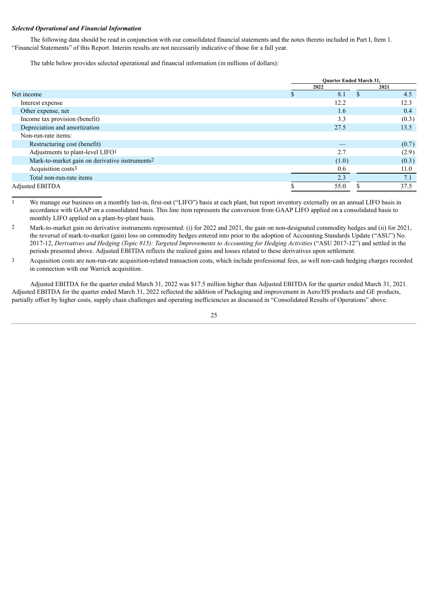### *Selected Operational and Financial Information*

The following data should be read in conjunction with our consolidated financial statements and the notes thereto included in Part I, Item 1. "Financial Statements" of this Report. Interim results are not necessarily indicative of those for a full year.

The table below provides selected operational and financial information (in millions of dollars):

|                                                            | <b>Ouarter Ended March 31.</b> |       |  |       |  |
|------------------------------------------------------------|--------------------------------|-------|--|-------|--|
|                                                            |                                | 2022  |  | 2021  |  |
| Net income                                                 |                                | 8.1   |  | 4.5   |  |
| Interest expense                                           |                                | 12.2  |  | 12.3  |  |
| Other expense, net                                         |                                | 1.6   |  | 0.4   |  |
| Income tax provision (benefit)                             |                                | 3.3   |  | (0.3) |  |
| Depreciation and amortization                              |                                | 27.5  |  | 13.5  |  |
| Non-run-rate items:                                        |                                |       |  |       |  |
| Restructuring cost (benefit)                               |                                |       |  | (0.7) |  |
| Adjustments to plant-level LIFO1                           |                                | 2.7   |  | (2.9) |  |
| Mark-to-market gain on derivative instruments <sup>2</sup> |                                | (1.0) |  | (0.3) |  |
| Acquisition costs <sup>3</sup>                             |                                | 0.6   |  | 11.0  |  |
| Total non-run-rate items                                   |                                | 2.3   |  | 7.1   |  |
| Adjusted EBITDA                                            |                                | 55.0  |  | 37.5  |  |
|                                                            |                                |       |  |       |  |

1 We manage our business on a monthly last-in, first-out ("LIFO") basis at each plant, but report inventory externally on an annual LIFO basis in accordance with GAAP on a consolidated basis. This line item represents the conversion from GAAP LIFO applied on a consolidated basis to monthly LIFO applied on a plant-by-plant basis.

2 Mark-to-market gain on derivative instruments represented: (i) for 2022 and 2021, the gain on non-designated commodity hedges and (ii) for 2021, the reversal of mark-to-market (gain) loss on commodity hedges entered into prior to the adoption of Accounting Standards Update ("ASU") No. 2017-12, *Derivatives and Hedging (Topic 815): Targeted Improvements to Accounting for Hedging Activities* ("ASU 2017-12") and settled in the periods presented above. Adjusted EBITDA reflects the realized gains and losses related to these derivatives upon settlement.

3 Acquisition costs are non-run-rate acquisition-related transaction costs, which include professional fees, as well non‑cash hedging charges recorded in connection with our Warrick acquisition.

Adjusted EBITDA for the quarter ended March 31, 2022 was \$17.5 million higher than Adjusted EBITDA for the quarter ended March 31, 2021. Adjusted EBITDA for the quarter ended March 31, 2022 reflected the addition of Packaging and improvement in Aero/HS products and GE products, partially offset by higher costs, supply chain challenges and operating inefficiencies as discussed in "Consolidated Results of Operations" above.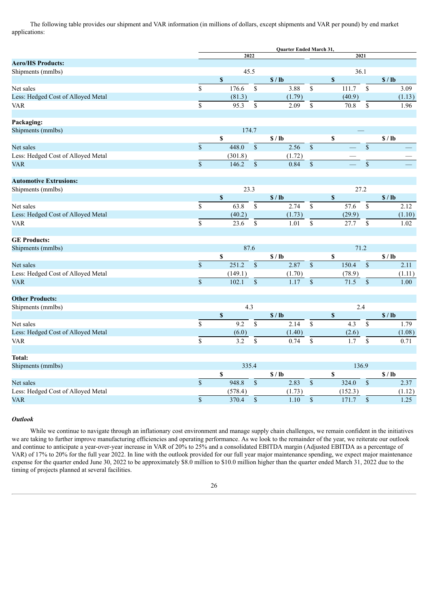The following table provides our shipment and VAR information (in millions of dollars, except shipments and VAR per pound) by end market applications:

|                                    |                    | Quarter Ended March 31, |                         |        |                         |                    |                     |                         |        |
|------------------------------------|--------------------|-------------------------|-------------------------|--------|-------------------------|--------------------|---------------------|-------------------------|--------|
|                                    |                    | 2022                    |                         |        |                         |                    | 2021                |                         |        |
| <b>Aero/HS Products:</b>           |                    |                         |                         |        |                         |                    |                     |                         |        |
| Shipments (mmlbs)                  |                    | 45.5                    |                         |        |                         |                    | 36.1                |                         |        |
|                                    |                    | $\mathbb S$             |                         | \$/lb  |                         | \$                 |                     |                         | \$/lb  |
| Net sales                          | \$                 | 176.6                   | \$                      | 3.88   | \$                      |                    | 111.7               | $\mathbb S$             | 3.09   |
| Less: Hedged Cost of Alloyed Metal |                    | (81.3)                  |                         | (1.79) |                         |                    | (40.9)              |                         | (1.13) |
| <b>VAR</b>                         | \$                 | 95.3                    | $\overline{\$}$         | 2.09   | $\overline{\$}$         |                    | 70.8                | $\mathbb S$             | 1.96   |
|                                    |                    |                         |                         |        |                         |                    |                     |                         |        |
| Packaging:                         |                    |                         |                         |        |                         |                    |                     |                         |        |
| Shipments (mmlbs)                  |                    | 174.7                   |                         |        |                         |                    |                     |                         |        |
|                                    |                    | \$                      |                         | \$/lb  |                         | \$                 |                     |                         | \$/lb  |
| Net sales                          | $\mathbf{\hat{S}}$ | 448.0                   | $\mathsf{\$}$           | 2.56   | $\overline{\$}$         |                    |                     | $\mathbf{\hat{S}}$      |        |
| Less: Hedged Cost of Alloyed Metal |                    | (301.8)                 |                         | (1.72) |                         |                    |                     |                         |        |
| <b>VAR</b>                         | $\mathbf{\hat{S}}$ | 146.2                   | $\overline{\mathbb{S}}$ | 0.84   | $\overline{\mathbb{S}}$ |                    |                     | $\overline{\mathbf{S}}$ |        |
|                                    |                    |                         |                         |        |                         |                    |                     |                         |        |
| <b>Automotive Extrusions:</b>      |                    |                         |                         |        |                         |                    |                     |                         |        |
| Shipments (mmlbs)                  |                    | 23.3                    |                         |        |                         | 27.2               |                     |                         |        |
|                                    |                    | \$                      |                         | \$/lb  |                         | $\pmb{\mathbb{S}}$ |                     |                         | \$/lb  |
| Net sales                          | \$                 | 63.8                    | $\overline{\$}$         | 2.74   | \$                      |                    | $\frac{57.6}{57.6}$ | $\mathbb{S}$            | 2.12   |
| Less: Hedged Cost of Alloyed Metal |                    | (40.2)                  |                         | (1.73) |                         |                    | (29.9)              |                         | (1.10) |
| <b>VAR</b>                         | $\mathsf{\$}$      | 23.6                    | $\overline{\$}$         | 1.01   | $\overline{\mathbb{S}}$ |                    | 27.7                | $\mathbb S$             | 1.02   |
|                                    |                    |                         |                         |        |                         |                    |                     |                         |        |
| <b>GE Products:</b>                |                    |                         |                         |        |                         |                    |                     |                         |        |
| Shipments (mmlbs)                  |                    | 87.6                    |                         |        |                         |                    | 71.2                |                         |        |
|                                    |                    | \$                      |                         | \$/lb  |                         | \$                 |                     |                         | \$/lb  |
| Net sales                          | $\mathsf{\$}$      | 251.2                   | $\overline{\$}$         | 2.87   | $\overline{\$}$         |                    | 150.4               | $\mathbb S$             | 2.11   |
| Less: Hedged Cost of Alloyed Metal |                    | (149.1)                 |                         | (1.70) |                         |                    | (78.9)              |                         | (1.11) |
| <b>VAR</b>                         | $\mathbf{\hat{S}}$ | 102.1                   | $\overline{\$}$         | 1.17   | $\overline{\$}$         |                    | 71.5                | $\mathsf{\$}$           | 1.00   |
|                                    |                    |                         |                         |        |                         |                    |                     |                         |        |
| <b>Other Products:</b>             |                    |                         |                         |        |                         |                    |                     |                         |        |
| Shipments (mmlbs)                  |                    | 4.3                     |                         |        |                         |                    | 2.4                 |                         |        |
|                                    |                    | \$                      |                         | \$/lb  |                         | $\mathbf{s}$       |                     |                         | \$/lb  |
| Net sales                          | $\mathbb S$        | 9.2                     | $\overline{\mathbb{S}}$ | 2.14   | $\overline{\mathbb{S}}$ |                    | 4.3                 | $\overline{\$}$         | 1.79   |
| Less: Hedged Cost of Alloyed Metal |                    | (6.0)                   |                         | (1.40) |                         |                    | (2.6)               |                         | (1.08) |
| <b>VAR</b>                         | $\overline{\$}$    | 3.2                     | $\overline{\$}$         | 0.74   | $\overline{\mathbb{S}}$ |                    | 1.7                 | $\overline{\$}$         | 0.71   |
|                                    |                    |                         |                         |        |                         |                    |                     |                         |        |
| <b>Total:</b>                      |                    |                         |                         |        |                         |                    |                     |                         |        |
| Shipments (mmlbs)                  |                    | 335.4                   |                         |        |                         |                    | 136.9               |                         |        |
|                                    |                    | \$                      |                         | \$/lb  |                         | \$                 |                     |                         | \$/lb  |
| Net sales                          | $\mathbf{\hat{S}}$ | 948.8                   | $\overline{\$}$         | 2.83   | $\overline{\$}$         |                    | 324.0               | $\overline{\$}$         | 2.37   |
| Less: Hedged Cost of Alloyed Metal |                    | (578.4)                 |                         | (1.73) |                         |                    | (152.3)             |                         | (1.12) |
| <b>VAR</b>                         | $\mathsf{\$}$      | 370.4                   | $\overline{\mathbb{S}}$ | 1.10   | $\overline{\$}$         |                    | 171.7               | $\overline{\$}$         | 1.25   |
|                                    |                    |                         |                         |        |                         |                    |                     |                         |        |

# *Outlook*

While we continue to navigate through an inflationary cost environment and manage supply chain challenges, we remain confident in the initiatives we are taking to further improve manufacturing efficiencies and operating performance. As we look to the remainder of the year, we reiterate our outlook and continue to anticipate a year-over-year increase in VAR of 20% to 25% and a consolidated EBITDA margin (Adjusted EBITDA as a percentage of VAR) of 17% to 20% for the full year 2022. In line with the outlook provided for our full year major maintenance spending, we expect major maintenance expense for the quarter ended June 30, 2022 to be approximately \$8.0 million to \$10.0 million higher than the quarter ended March 31, 2022 due to the timing of projects planned at several facilities.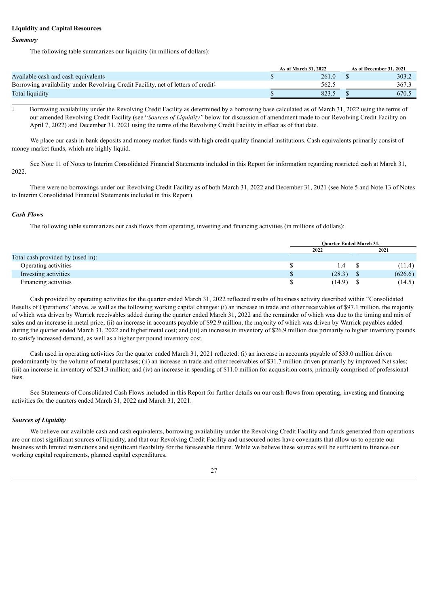### **Liquidity and Capital Resources**

#### *Summary*

The following table summarizes our liquidity (in millions of dollars):

|                                                                                               | As of March 31, 2022 | As of December 31, 2021 |       |
|-----------------------------------------------------------------------------------------------|----------------------|-------------------------|-------|
| Available cash and cash equivalents                                                           |                      | 261.0                   | 303.2 |
| Borrowing availability under Revolving Credit Facility, net of letters of credit <sup>1</sup> |                      | 562.5                   | 367.3 |
| Total liquidity                                                                               |                      | 823.5                   | 670.5 |

1 Borrowing availability under the Revolving Credit Facility as determined by a borrowing base calculated as of March 31, 2022 using the terms of our amended Revolving Credit Facility (see "*Sources of Liquidity"* below for discussion of amendment made to our Revolving Credit Facility on April 7, 2022) and December 31, 2021 using the terms of the Revolving Credit Facility in effect as of that date.

We place our cash in bank deposits and money market funds with high credit quality financial institutions. Cash equivalents primarily consist of money market funds, which are highly liquid.

See Note 11 of Notes to Interim Consolidated Financial Statements included in this Report for information regarding restricted cash at March 31, 2022.

There were no borrowings under our Revolving Credit Facility as of both March 31, 2022 and December 31, 2021 (see Note 5 and Note 13 of Notes to Interim Consolidated Financial Statements included in this Report).

#### *Cash Flows*

The following table summarizes our cash flows from operating, investing and financing activities (in millions of dollars):

|                                   | <b>Ouarter Ended March 31,</b> |  |         |  |  |
|-----------------------------------|--------------------------------|--|---------|--|--|
|                                   | 2022                           |  | 2021    |  |  |
| Total cash provided by (used in): |                                |  |         |  |  |
| Operating activities              | $\cdot$ .4                     |  | (11.4)  |  |  |
| Investing activities              | (28.3)                         |  | (626.6) |  |  |
| Financing activities              | (14.9)                         |  | (14.5)  |  |  |

Cash provided by operating activities for the quarter ended March 31, 2022 reflected results of business activity described within "Consolidated Results of Operations" above, as well as the following working capital changes: (i) an increase in trade and other receivables of \$97.1 million, the majority of which was driven by Warrick receivables added during the quarter ended March 31, 2022 and the remainder of which was due to the timing and mix of sales and an increase in metal price; (ii) an increase in accounts payable of \$92.9 million, the majority of which was driven by Warrick payables added during the quarter ended March 31, 2022 and higher metal cost; and (iii) an increase in inventory of \$26.9 million due primarily to higher inventory pounds to satisfy increased demand, as well as a higher per pound inventory cost.

Cash used in operating activities for the quarter ended March 31, 2021 reflected: (i) an increase in accounts payable of \$33.0 million driven predominantly by the volume of metal purchases; (ii) an increase in trade and other receivables of \$31.7 million driven primarily by improved Net sales; (iii) an increase in inventory of \$24.3 million; and (iv) an increase in spending of \$11.0 million for acquisition costs, primarily comprised of professional fees.

See Statements of Consolidated Cash Flows included in this Report for further details on our cash flows from operating, investing and financing activities for the quarters ended March 31, 2022 and March 31, 2021.

#### *Sources of Liquidity*

We believe our available cash and cash equivalents, borrowing availability under the Revolving Credit Facility and funds generated from operations are our most significant sources of liquidity, and that our Revolving Credit Facility and unsecured notes have covenants that allow us to operate our business with limited restrictions and significant flexibility for the foreseeable future. While we believe these sources will be sufficient to finance our working capital requirements, planned capital expenditures,

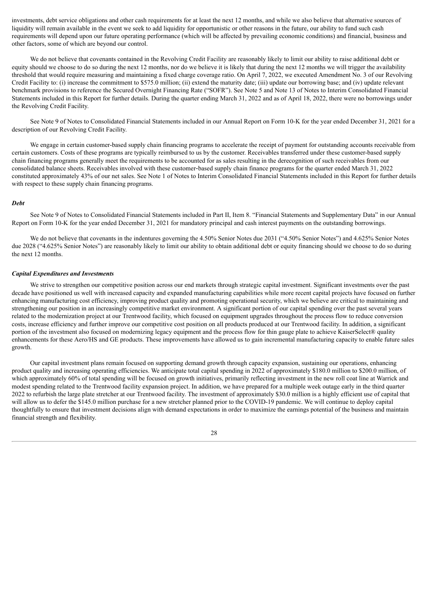investments, debt service obligations and other cash requirements for at least the next 12 months, and while we also believe that alternative sources of liquidity will remain available in the event we seek to add liquidity for opportunistic or other reasons in the future, our ability to fund such cash requirements will depend upon our future operating performance (which will be affected by prevailing economic conditions) and financial, business and other factors, some of which are beyond our control.

We do not believe that covenants contained in the Revolving Credit Facility are reasonably likely to limit our ability to raise additional debt or equity should we choose to do so during the next 12 months, nor do we believe it is likely that during the next 12 months we will trigger the availability threshold that would require measuring and maintaining a fixed charge coverage ratio. On April 7, 2022, we executed Amendment No. 3 of our Revolving Credit Facility to: (i) increase the commitment to \$575.0 million; (ii) extend the maturity date; (iii) update our borrowing base; and (iv) update relevant benchmark provisions to reference the Secured Overnight Financing Rate ("SOFR"). See Note 5 and Note 13 of Notes to Interim Consolidated Financial Statements included in this Report for further details. During the quarter ending March 31, 2022 and as of April 18, 2022, there were no borrowings under the Revolving Credit Facility.

See Note 9 of Notes to Consolidated Financial Statements included in our Annual Report on Form 10-K for the year ended December 31, 2021 for a description of our Revolving Credit Facility.

We engage in certain customer-based supply chain financing programs to accelerate the receipt of payment for outstanding accounts receivable from certain customers. Costs of these programs are typically reimbursed to us by the customer. Receivables transferred under these customer-based supply chain financing programs generally meet the requirements to be accounted for as sales resulting in the derecognition of such receivables from our consolidated balance sheets. Receivables involved with these customer-based supply chain finance programs for the quarter ended March 31, 2022 constituted approximately 43% of our net sales. See Note 1 of Notes to Interim Consolidated Financial Statements included in this Report for further details with respect to these supply chain financing programs.

# *Debt*

See Note 9 of Notes to Consolidated Financial Statements included in Part II, Item 8. "Financial Statements and Supplementary Data" in our Annual Report on Form 10-K for the year ended December 31, 2021 for mandatory principal and cash interest payments on the outstanding borrowings.

We do not believe that covenants in the indentures governing the 4.50% Senior Notes due 2031 ("4.50% Senior Notes") and 4.625% Senior Notes due 2028 ("4.625% Senior Notes") are reasonably likely to limit our ability to obtain additional debt or equity financing should we choose to do so during the next 12 months.

#### *Capital Expenditures and Investments*

We strive to strengthen our competitive position across our end markets through strategic capital investment. Significant investments over the past decade have positioned us well with increased capacity and expanded manufacturing capabilities while more recent capital projects have focused on further enhancing manufacturing cost efficiency, improving product quality and promoting operational security, which we believe are critical to maintaining and strengthening our position in an increasingly competitive market environment. A significant portion of our capital spending over the past several years related to the modernization project at our Trentwood facility, which focused on equipment upgrades throughout the process flow to reduce conversion costs, increase efficiency and further improve our competitive cost position on all products produced at our Trentwood facility. In addition, a significant portion of the investment also focused on modernizing legacy equipment and the process flow for thin gauge plate to achieve KaiserSelect® quality enhancements for these Aero/HS and GE products. These improvements have allowed us to gain incremental manufacturing capacity to enable future sales growth.

Our capital investment plans remain focused on supporting demand growth through capacity expansion, sustaining our operations, enhancing product quality and increasing operating efficiencies. We anticipate total capital spending in 2022 of approximately \$180.0 million to \$200.0 million, of which approximately 60% of total spending will be focused on growth initiatives, primarily reflecting investment in the new roll coat line at Warrick and modest spending related to the Trentwood facility expansion project. In addition, we have prepared for a multiple week outage early in the third quarter 2022 to refurbish the large plate stretcher at our Trentwood facility. The investment of approximately \$30.0 million is a highly efficient use of capital that will allow us to defer the \$145.0 million purchase for a new stretcher planned prior to the COVID-19 pandemic. We will continue to deploy capital thoughtfully to ensure that investment decisions align with demand expectations in order to maximize the earnings potential of the business and maintain financial strength and flexibility.

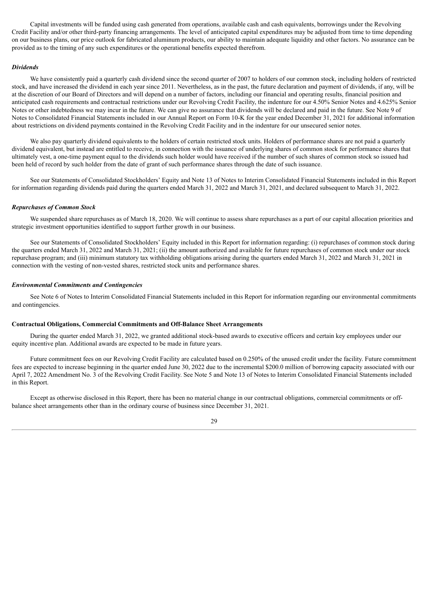Capital investments will be funded using cash generated from operations, available cash and cash equivalents, borrowings under the Revolving Credit Facility and/or other third-party financing arrangements. The level of anticipated capital expenditures may be adjusted from time to time depending on our business plans, our price outlook for fabricated aluminum products, our ability to maintain adequate liquidity and other factors. No assurance can be provided as to the timing of any such expenditures or the operational benefits expected therefrom.

#### *Dividends*

We have consistently paid a quarterly cash dividend since the second quarter of 2007 to holders of our common stock, including holders of restricted stock, and have increased the dividend in each year since 2011. Nevertheless, as in the past, the future declaration and payment of dividends, if any, will be at the discretion of our Board of Directors and will depend on a number of factors, including our financial and operating results, financial position and anticipated cash requirements and contractual restrictions under our Revolving Credit Facility, the indenture for our 4.50% Senior Notes and 4.625% Senior Notes or other indebtedness we may incur in the future. We can give no assurance that dividends will be declared and paid in the future. See Note 9 of Notes to Consolidated Financial Statements included in our Annual Report on Form 10-K for the year ended December 31, 2021 for additional information about restrictions on dividend payments contained in the Revolving Credit Facility and in the indenture for our unsecured senior notes.

We also pay quarterly dividend equivalents to the holders of certain restricted stock units. Holders of performance shares are not paid a quarterly dividend equivalent, but instead are entitled to receive, in connection with the issuance of underlying shares of common stock for performance shares that ultimately vest, a one-time payment equal to the dividends such holder would have received if the number of such shares of common stock so issued had been held of record by such holder from the date of grant of such performance shares through the date of such issuance.

See our Statements of Consolidated Stockholders' Equity and Note 13 of Notes to Interim Consolidated Financial Statements included in this Report for information regarding dividends paid during the quarters ended March 31, 2022 and March 31, 2021, and declared subsequent to March 31, 2022.

#### *Repurchases of Common Stock*

We suspended share repurchases as of March 18, 2020. We will continue to assess share repurchases as a part of our capital allocation priorities and strategic investment opportunities identified to support further growth in our business.

See our Statements of Consolidated Stockholders' Equity included in this Report for information regarding: (i) repurchases of common stock during the quarters ended March 31, 2022 and March 31, 2021; (ii) the amount authorized and available for future repurchases of common stock under our stock repurchase program; and (iii) minimum statutory tax withholding obligations arising during the quarters ended March 31, 2022 and March 31, 2021 in connection with the vesting of non-vested shares, restricted stock units and performance shares.

#### *Environmental Commitments and Contingencies*

See Note 6 of Notes to Interim Consolidated Financial Statements included in this Report for information regarding our environmental commitments and contingencies.

#### **Contractual Obligations, Commercial Commitments and Off-Balance Sheet Arrangements**

During the quarter ended March 31, 2022, we granted additional stock-based awards to executive officers and certain key employees under our equity incentive plan. Additional awards are expected to be made in future years.

Future commitment fees on our Revolving Credit Facility are calculated based on 0.250% of the unused credit under the facility. Future commitment fees are expected to increase beginning in the quarter ended June 30, 2022 due to the incremental \$200.0 million of borrowing capacity associated with our April 7, 2022 Amendment No. 3 of the Revolving Credit Facility. See Note 5 and Note 13 of Notes to Interim Consolidated Financial Statements included in this Report.

Except as otherwise disclosed in this Report, there has been no material change in our contractual obligations, commercial commitments or offbalance sheet arrangements other than in the ordinary course of business since December 31, 2021.

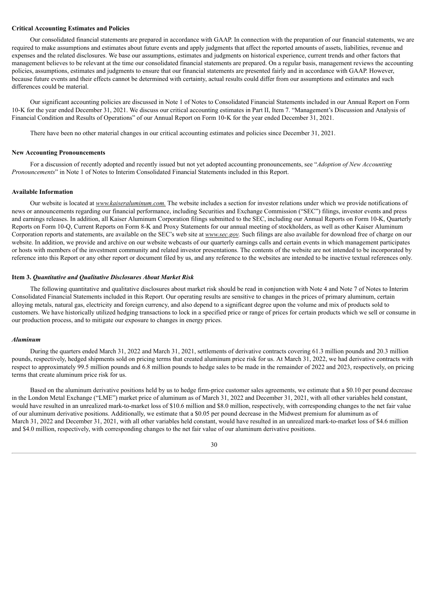### **Critical Accounting Estimates and Policies**

Our consolidated financial statements are prepared in accordance with GAAP. In connection with the preparation of our financial statements, we are required to make assumptions and estimates about future events and apply judgments that affect the reported amounts of assets, liabilities, revenue and expenses and the related disclosures. We base our assumptions, estimates and judgments on historical experience, current trends and other factors that management believes to be relevant at the time our consolidated financial statements are prepared. On a regular basis, management reviews the accounting policies, assumptions, estimates and judgments to ensure that our financial statements are presented fairly and in accordance with GAAP. However, because future events and their effects cannot be determined with certainty, actual results could differ from our assumptions and estimates and such differences could be material.

Our significant accounting policies are discussed in Note 1 of Notes to Consolidated Financial Statements included in our Annual Report on Form 10-K for the year ended December 31, 2021. We discuss our critical accounting estimates in Part II, Item 7. "Management's Discussion and Analysis of Financial Condition and Results of Operations" of our Annual Report on Form 10‑K for the year ended December 31, 2021.

There have been no other material changes in our critical accounting estimates and policies since December 31, 2021.

#### **New Accounting Pronouncements**

For a discussion of recently adopted and recently issued but not yet adopted accounting pronouncements, see "*Adoption of New Accounting Pronouncements*" in Note 1 of Notes to Interim Consolidated Financial Statements included in this Report.

#### **Available Information**

Our website is located at *www.kaiseraluminum.com.* The website includes a section for investor relations under which we provide notifications of news or announcements regarding our financial performance, including Securities and Exchange Commission ("SEC") filings, investor events and press and earnings releases. In addition, all Kaiser Aluminum Corporation filings submitted to the SEC, including our Annual Reports on Form 10-K, Quarterly Reports on Form 10-Q, Current Reports on Form 8-K and Proxy Statements for our annual meeting of stockholders, as well as other Kaiser Aluminum Corporation reports and statements, are available on the SEC's web site at *www.sec.gov.* Such filings are also available for download free of charge on our website. In addition, we provide and archive on our website webcasts of our quarterly earnings calls and certain events in which management participates or hosts with members of the investment community and related investor presentations. The contents of the website are not intended to be incorporated by reference into this Report or any other report or document filed by us, and any reference to the websites are intended to be inactive textual references only.

#### <span id="page-31-0"></span>**Item 3.** *Quantitative and Qualitative Disclosures About Market Risk*

The following quantitative and qualitative disclosures about market risk should be read in conjunction with Note 4 and Note 7 of Notes to Interim Consolidated Financial Statements included in this Report. Our operating results are sensitive to changes in the prices of primary aluminum, certain alloying metals, natural gas, electricity and foreign currency, and also depend to a significant degree upon the volume and mix of products sold to customers. We have historically utilized hedging transactions to lock in a specified price or range of prices for certain products which we sell or consume in our production process, and to mitigate our exposure to changes in energy prices.

#### *Aluminum*

During the quarters ended March 31, 2022 and March 31, 2021, settlements of derivative contracts covering 61.3 million pounds and 20.3 million pounds, respectively, hedged shipments sold on pricing terms that created aluminum price risk for us. At March 31, 2022, we had derivative contracts with respect to approximately 99.5 million pounds and 6.8 million pounds to hedge sales to be made in the remainder of 2022 and 2023, respectively, on pricing terms that create aluminum price risk for us.

Based on the aluminum derivative positions held by us to hedge firm-price customer sales agreements, we estimate that a \$0.10 per pound decrease in the London Metal Exchange ("LME") market price of aluminum as of March 31, 2022 and December 31, 2021, with all other variables held constant, would have resulted in an unrealized mark-to-market loss of \$10.6 million and \$8.0 million, respectively, with corresponding changes to the net fair value of our aluminum derivative positions. Additionally, we estimate that a \$0.05 per pound decrease in the Midwest premium for aluminum as of March 31, 2022 and December 31, 2021, with all other variables held constant, would have resulted in an unrealized mark-to-market loss of \$4.6 million and \$4.0 million, respectively, with corresponding changes to the net fair value of our aluminum derivative positions.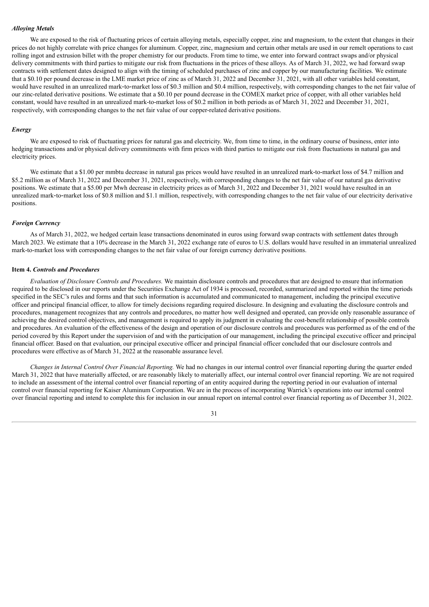### *Alloying Metals*

We are exposed to the risk of fluctuating prices of certain alloying metals, especially copper, zinc and magnesium, to the extent that changes in their prices do not highly correlate with price changes for aluminum. Copper, zinc, magnesium and certain other metals are used in our remelt operations to cast rolling ingot and extrusion billet with the proper chemistry for our products. From time to time, we enter into forward contract swaps and/or physical delivery commitments with third parties to mitigate our risk from fluctuations in the prices of these alloys. As of March 31, 2022, we had forward swap contracts with settlement dates designed to align with the timing of scheduled purchases of zinc and copper by our manufacturing facilities. We estimate that a \$0.10 per pound decrease in the LME market price of zinc as of March 31, 2022 and December 31, 2021, with all other variables held constant, would have resulted in an unrealized mark-to-market loss of \$0.3 million and \$0.4 million, respectively, with corresponding changes to the net fair value of our zinc-related derivative positions. We estimate that a \$0.10 per pound decrease in the COMEX market price of copper, with all other variables held constant, would have resulted in an unrealized mark-to-market loss of \$0.2 million in both periods as of March 31, 2022 and December 31, 2021, respectively, with corresponding changes to the net fair value of our copper-related derivative positions.

#### *Energy*

We are exposed to risk of fluctuating prices for natural gas and electricity. We, from time to time, in the ordinary course of business, enter into hedging transactions and/or physical delivery commitments with firm prices with third parties to mitigate our risk from fluctuations in natural gas and electricity prices.

We estimate that a \$1.00 per mmbtu decrease in natural gas prices would have resulted in an unrealized mark-to-market loss of \$4.7 million and \$5.2 million as of March 31, 2022 and December 31, 2021, respectively, with corresponding changes to the net fair value of our natural gas derivative positions. We estimate that a \$5.00 per Mwh decrease in electricity prices as of March 31, 2022 and December 31, 2021 would have resulted in an unrealized mark-to-market loss of \$0.8 million and \$1.1 million, respectively, with corresponding changes to the net fair value of our electricity derivative positions.

#### *Foreign Currency*

As of March 31, 2022, we hedged certain lease transactions denominated in euros using forward swap contracts with settlement dates through March 2023. We estimate that a 10% decrease in the March 31, 2022 exchange rate of euros to U.S. dollars would have resulted in an immaterial unrealized mark-to-market loss with corresponding changes to the net fair value of our foreign currency derivative positions.

### <span id="page-32-0"></span>**Item 4.** *Controls and Procedures*

*Evaluation of Disclosure Controls and Procedures.* We maintain disclosure controls and procedures that are designed to ensure that information required to be disclosed in our reports under the Securities Exchange Act of 1934 is processed, recorded, summarized and reported within the time periods specified in the SEC's rules and forms and that such information is accumulated and communicated to management, including the principal executive officer and principal financial officer, to allow for timely decisions regarding required disclosure. In designing and evaluating the disclosure controls and procedures, management recognizes that any controls and procedures, no matter how well designed and operated, can provide only reasonable assurance of achieving the desired control objectives, and management is required to apply its judgment in evaluating the cost-benefit relationship of possible controls and procedures. An evaluation of the effectiveness of the design and operation of our disclosure controls and procedures was performed as of the end of the period covered by this Report under the supervision of and with the participation of our management, including the principal executive officer and principal financial officer. Based on that evaluation, our principal executive officer and principal financial officer concluded that our disclosure controls and procedures were effective as of March 31, 2022 at the reasonable assurance level.

*Changes in Internal Control Over Financial Reporting.* We had no changes in our internal control over financial reporting during the quarter ended March 31, 2022 that have materially affected, or are reasonably likely to materially affect, our internal control over financial reporting. We are not required to include an assessment of the internal control over financial reporting of an entity acquired during the reporting period in our evaluation of internal control over financial reporting for Kaiser Aluminum Corporation. We are in the process of incorporating Warrick's operations into our internal control over financial reporting and intend to complete this for inclusion in our annual report on internal control over financial reporting as of December 31, 2022.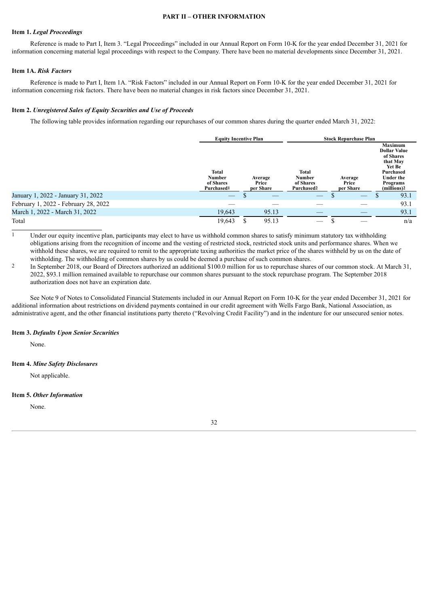# **PART II – OTHER INFORMATION**

#### <span id="page-33-1"></span><span id="page-33-0"></span>**Item 1.** *Legal Proceedings*

Reference is made to Part I, Item 3. "Legal Proceedings" included in our Annual Report on Form 10-K for the year ended December 31, 2021 for information concerning material legal proceedings with respect to the Company. There have been no material developments since December 31, 2021.

### <span id="page-33-2"></span>**Item 1A.** *Risk Factors*

Reference is made to Part I, Item 1A. "Risk Factors" included in our Annual Report on Form 10-K for the year ended December 31, 2021 for information concerning risk factors. There have been no material changes in risk factors since December 31, 2021.

#### <span id="page-33-3"></span>**Item 2.** *Unregistered Sales of Equity Securities and Use of Proceeds*

The following table provides information regarding our repurchases of our common shares during the quarter ended March 31, 2022:

|                                      | <b>Equity Incentive Plan</b>                      |                               |                                                               | <b>Stock Repurchase Plan</b> |                               |   |                                                                                                                                             |  |
|--------------------------------------|---------------------------------------------------|-------------------------------|---------------------------------------------------------------|------------------------------|-------------------------------|---|---------------------------------------------------------------------------------------------------------------------------------------------|--|
|                                      | Total<br><b>Number</b><br>of Shares<br>Purchased1 | Average<br>Price<br>per Share | Total<br><b>Number</b><br>of Shares<br>Purchased <sub>2</sub> |                              | Average<br>Price<br>per Share |   | <b>Maximum</b><br><b>Dollar Value</b><br>of Shares<br>that May<br>Yet Be<br>Purchased<br><b>Under the</b><br><b>Programs</b><br>(millions)2 |  |
| January 1, 2022 - January 31, 2022   | $\overbrace{\hspace{25mm}}^{}$                    |                               | $\overbrace{\hspace{25mm}}^{}$                                | ۰D                           | $\overbrace{\phantom{aaaaa}}$ | D | 93.1                                                                                                                                        |  |
| February 1, 2022 - February 28, 2022 |                                                   |                               |                                                               |                              |                               |   | 93.1                                                                                                                                        |  |
| March 1, 2022 - March 31, 2022       | 19,643                                            | 95.13                         |                                                               |                              |                               |   | 93.1                                                                                                                                        |  |
| Total                                | 19,643                                            | 95.13                         |                                                               |                              |                               |   | n/a                                                                                                                                         |  |

1 Under our equity incentive plan, participants may elect to have us withhold common shares to satisfy minimum statutory tax withholding obligations arising from the recognition of income and the vesting of restricted stock, restricted stock units and performance shares. When we withhold these shares, we are required to remit to the appropriate taxing authorities the market price of the shares withheld by us on the date of withholding. The withholding of common shares by us could be deemed a purchase of such common shares.

2 In September 2018, our Board of Directors authorized an additional \$100.0 million for us to repurchase shares of our common stock. At March 31, 2022, \$93.1 million remained available to repurchase our common shares pursuant to the stock repurchase program. The September 2018 authorization does not have an expiration date.

See Note 9 of Notes to Consolidated Financial Statements included in our Annual Report on Form 10-K for the year ended December 31, 2021 for additional information about restrictions on dividend payments contained in our credit agreement with Wells Fargo Bank, National Association, as administrative agent, and the other financial institutions party thereto ("Revolving Credit Facility") and in the indenture for our unsecured senior notes.

#### <span id="page-33-4"></span>**Item 3.** *Defaults Upon Senior Securities*

None.

#### <span id="page-33-5"></span>**Item 4.** *Mine Safety Disclosures*

Not applicable.

#### <span id="page-33-6"></span>**Item 5.** *Other Information*

None.

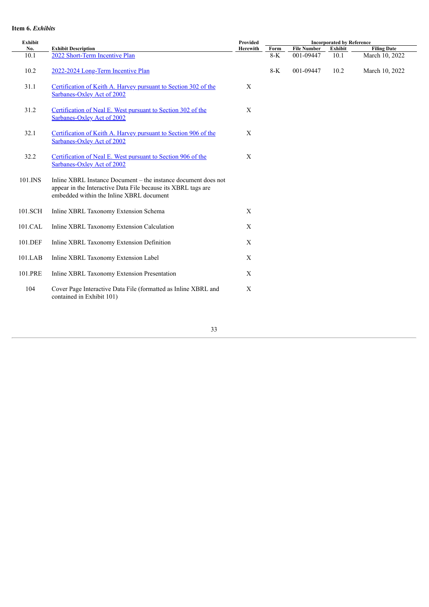# <span id="page-34-0"></span>**Item 6.** *Exhibits*

| Exhibit |                                                                                                                                                                             | Provided    | <b>Incorporated by Reference</b> |                    |                |                    |  |  |
|---------|-----------------------------------------------------------------------------------------------------------------------------------------------------------------------------|-------------|----------------------------------|--------------------|----------------|--------------------|--|--|
| No.     | <b>Exhibit Description</b>                                                                                                                                                  | Herewith    | Form                             | <b>File Number</b> | <b>Exhibit</b> | <b>Filing Date</b> |  |  |
| 10.1    | 2022 Short-Term Incentive Plan                                                                                                                                              |             | 8-K                              | 001-09447          | 10.1           | March 10, 2022     |  |  |
| 10.2    | 2022-2024 Long-Term Incentive Plan                                                                                                                                          |             | $8-K$                            | 001-09447          | 10.2           | March 10, 2022     |  |  |
| 31.1    | Certification of Keith A. Harvey pursuant to Section 302 of the<br>Sarbanes-Oxley Act of 2002                                                                               | $\mathbf X$ |                                  |                    |                |                    |  |  |
| 31.2    | Certification of Neal E. West pursuant to Section 302 of the<br>Sarbanes-Oxley Act of 2002                                                                                  | X           |                                  |                    |                |                    |  |  |
| 32.1    | Certification of Keith A. Harvey pursuant to Section 906 of the<br>Sarbanes-Oxley Act of 2002                                                                               | $\mathbf X$ |                                  |                    |                |                    |  |  |
| 32.2    | Certification of Neal E. West pursuant to Section 906 of the<br>Sarbanes-Oxley Act of 2002                                                                                  | X           |                                  |                    |                |                    |  |  |
| 101.INS | Inline XBRL Instance Document – the instance document does not<br>appear in the Interactive Data File because its XBRL tags are<br>embedded within the Inline XBRL document |             |                                  |                    |                |                    |  |  |
| 101.SCH | Inline XBRL Taxonomy Extension Schema                                                                                                                                       | X           |                                  |                    |                |                    |  |  |
| 101.CAL | Inline XBRL Taxonomy Extension Calculation                                                                                                                                  | X           |                                  |                    |                |                    |  |  |
| 101.DEF | Inline XBRL Taxonomy Extension Definition                                                                                                                                   | X           |                                  |                    |                |                    |  |  |
| 101.LAB | Inline XBRL Taxonomy Extension Label                                                                                                                                        | X           |                                  |                    |                |                    |  |  |
| 101.PRE | Inline XBRL Taxonomy Extension Presentation                                                                                                                                 | X           |                                  |                    |                |                    |  |  |
| 104     | Cover Page Interactive Data File (formatted as Inline XBRL and<br>contained in Exhibit 101)                                                                                 | X           |                                  |                    |                |                    |  |  |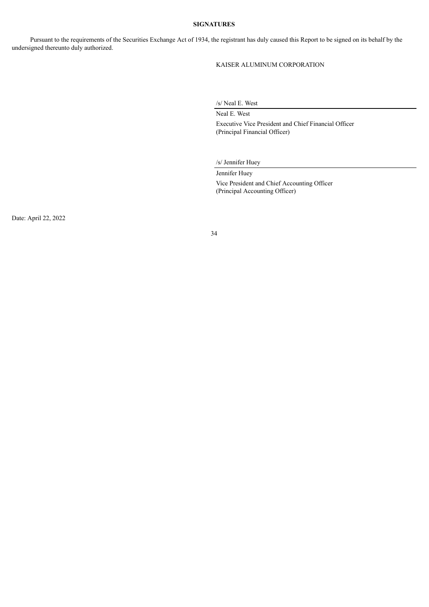# **SIGNATURES**

<span id="page-35-0"></span>Pursuant to the requirements of the Securities Exchange Act of 1934, the registrant has duly caused this Report to be signed on its behalf by the undersigned thereunto duly authorized.

# KAISER ALUMINUM CORPORATION

/s/ Neal E. West

Neal E. West Executive Vice President and Chief Financial Officer (Principal Financial Officer)

/s/ Jennifer Huey

Jennifer Huey Vice President and Chief Accounting Officer (Principal Accounting Officer)

Date: April 22, 2022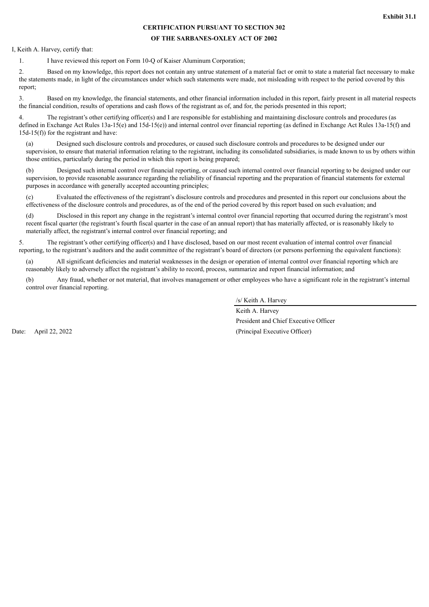# **CERTIFICATION PURSUANT TO SECTION 302 OF THE SARBANES-OXLEY ACT OF 2002**

<span id="page-36-0"></span>I, Keith A. Harvey, certify that:

1. I have reviewed this report on Form 10-Q of Kaiser Aluminum Corporation;

2. Based on my knowledge, this report does not contain any untrue statement of a material fact or omit to state a material fact necessary to make the statements made, in light of the circumstances under which such statements were made, not misleading with respect to the period covered by this report;

3. Based on my knowledge, the financial statements, and other financial information included in this report, fairly present in all material respects the financial condition, results of operations and cash flows of the registrant as of, and for, the periods presented in this report;

4. The registrant's other certifying officer(s) and I are responsible for establishing and maintaining disclosure controls and procedures (as defined in Exchange Act Rules 13a-15(e) and 15d-15(e)) and internal control over financial reporting (as defined in Exchange Act Rules 13a-15(f) and 15d-15(f)) for the registrant and have:

Designed such disclosure controls and procedures, or caused such disclosure controls and procedures to be designed under our supervision, to ensure that material information relating to the registrant, including its consolidated subsidiaries, is made known to us by others within those entities, particularly during the period in which this report is being prepared;

(b) Designed such internal control over financial reporting, or caused such internal control over financial reporting to be designed under our supervision, to provide reasonable assurance regarding the reliability of financial reporting and the preparation of financial statements for external purposes in accordance with generally accepted accounting principles;

(c) Evaluated the effectiveness of the registrant's disclosure controls and procedures and presented in this report our conclusions about the effectiveness of the disclosure controls and procedures, as of the end of the period covered by this report based on such evaluation; and

(d) Disclosed in this report any change in the registrant's internal control over financial reporting that occurred during the registrant's most recent fiscal quarter (the registrant's fourth fiscal quarter in the case of an annual report) that has materially affected, or is reasonably likely to materially affect, the registrant's internal control over financial reporting; and

5. The registrant's other certifying officer(s) and I have disclosed, based on our most recent evaluation of internal control over financial reporting, to the registrant's auditors and the audit committee of the registrant's board of directors (or persons performing the equivalent functions):

(a) All significant deficiencies and material weaknesses in the design or operation of internal control over financial reporting which are reasonably likely to adversely affect the registrant's ability to record, process, summarize and report financial information; and

(b) Any fraud, whether or not material, that involves management or other employees who have a significant role in the registrant's internal control over financial reporting.

/s/ Keith A. Harvey

Keith A. Harvey President and Chief Executive Officer Date: April 22, 2022 (Principal Executive Officer)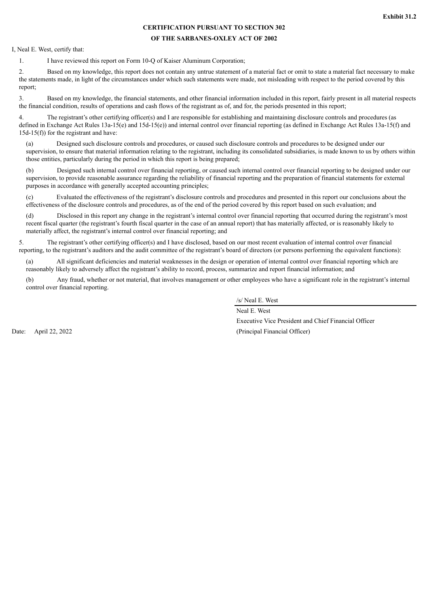# **CERTIFICATION PURSUANT TO SECTION 302 OF THE SARBANES-OXLEY ACT OF 2002**

<span id="page-37-0"></span>I, Neal E. West, certify that:

1. I have reviewed this report on Form 10-Q of Kaiser Aluminum Corporation;

2. Based on my knowledge, this report does not contain any untrue statement of a material fact or omit to state a material fact necessary to make the statements made, in light of the circumstances under which such statements were made, not misleading with respect to the period covered by this report;

3. Based on my knowledge, the financial statements, and other financial information included in this report, fairly present in all material respects the financial condition, results of operations and cash flows of the registrant as of, and for, the periods presented in this report;

4. The registrant's other certifying officer(s) and I are responsible for establishing and maintaining disclosure controls and procedures (as defined in Exchange Act Rules 13a-15(e) and 15d-15(e)) and internal control over financial reporting (as defined in Exchange Act Rules 13a-15(f) and 15d-15(f)) for the registrant and have:

Designed such disclosure controls and procedures, or caused such disclosure controls and procedures to be designed under our supervision, to ensure that material information relating to the registrant, including its consolidated subsidiaries, is made known to us by others within those entities, particularly during the period in which this report is being prepared;

(b) Designed such internal control over financial reporting, or caused such internal control over financial reporting to be designed under our supervision, to provide reasonable assurance regarding the reliability of financial reporting and the preparation of financial statements for external purposes in accordance with generally accepted accounting principles;

(c) Evaluated the effectiveness of the registrant's disclosure controls and procedures and presented in this report our conclusions about the effectiveness of the disclosure controls and procedures, as of the end of the period covered by this report based on such evaluation; and

(d) Disclosed in this report any change in the registrant's internal control over financial reporting that occurred during the registrant's most recent fiscal quarter (the registrant's fourth fiscal quarter in the case of an annual report) that has materially affected, or is reasonably likely to materially affect, the registrant's internal control over financial reporting; and

5. The registrant's other certifying officer(s) and I have disclosed, based on our most recent evaluation of internal control over financial reporting, to the registrant's auditors and the audit committee of the registrant's board of directors (or persons performing the equivalent functions):

(a) All significant deficiencies and material weaknesses in the design or operation of internal control over financial reporting which are reasonably likely to adversely affect the registrant's ability to record, process, summarize and report financial information; and

(b) Any fraud, whether or not material, that involves management or other employees who have a significant role in the registrant's internal control over financial reporting.

/s/ Neal E. West

Neal E. West

Executive Vice President and Chief Financial Officer Date: April 22, 2022 (Principal Financial Officer)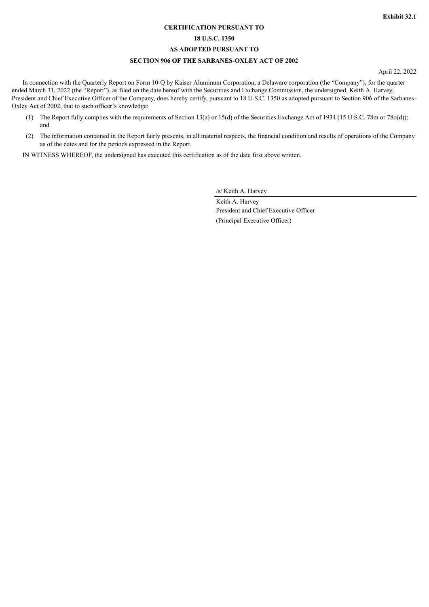## **CERTIFICATION PURSUANT TO**

# **18 U.S.C. 1350**

# **AS ADOPTED PURSUANT TO**

# **SECTION 906 OF THE SARBANES-OXLEY ACT OF 2002**

April 22, 2022

<span id="page-38-0"></span>In connection with the Quarterly Report on Form 10-Q by Kaiser Aluminum Corporation, a Delaware corporation (the "Company"), for the quarter ended March 31, 2022 (the "Report"), as filed on the date hereof with the Securities and Exchange Commission, the undersigned, Keith A. Harvey, President and Chief Executive Officer of the Company, does hereby certify, pursuant to 18 U.S.C. 1350 as adopted pursuant to Section 906 of the Sarbanes-Oxley Act of 2002, that to such officer's knowledge:

- (1) The Report fully complies with the requirements of Section 13(a) or 15(d) of the Securities Exchange Act of 1934 (15 U.S.C. 78m or 78o(d)); and
- (2) The information contained in the Report fairly presents, in all material respects, the financial condition and results of operations of the Company as of the dates and for the periods expressed in the Report.

IN WITNESS WHEREOF, the undersigned has executed this certification as of the date first above written.

/s/ Keith A. Harvey

Keith A. Harvey President and Chief Executive Officer (Principal Executive Officer)